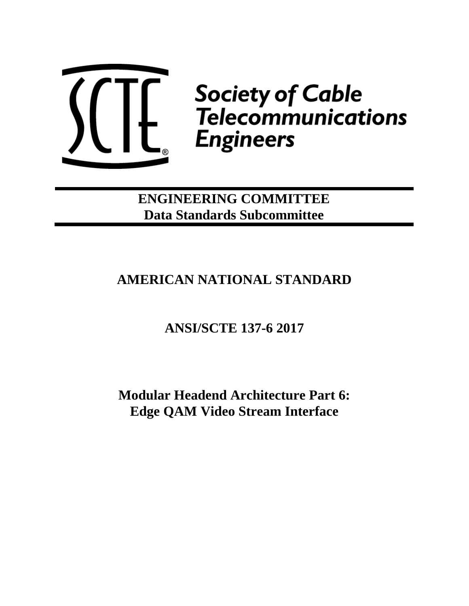

**Society of Cable**<br>Telecommunications **Engineers** 

**ENGINEERING COMMITTEE Data Standards Subcommittee**

# **AMERICAN NATIONAL STANDARD**

**ANSI/SCTE 137-6 2017**

**Modular Headend Architecture Part 6: Edge QAM Video Stream Interface**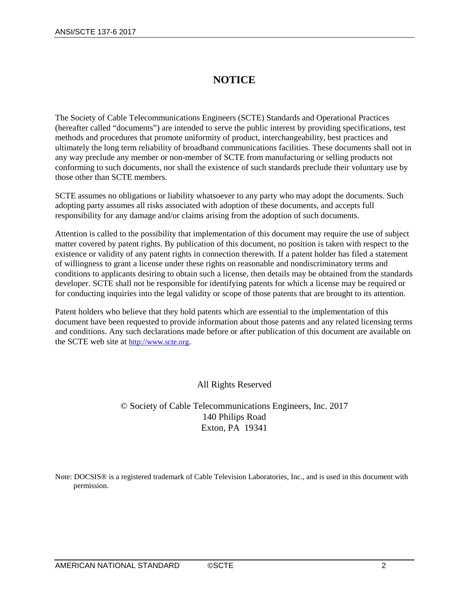## **NOTICE**

The Society of Cable Telecommunications Engineers (SCTE) Standards and Operational Practices (hereafter called "documents") are intended to serve the public interest by providing specifications, test methods and procedures that promote uniformity of product, interchangeability, best practices and ultimately the long term reliability of broadband communications facilities. These documents shall not in any way preclude any member or non-member of SCTE from manufacturing or selling products not conforming to such documents, nor shall the existence of such standards preclude their voluntary use by those other than SCTE members.

SCTE assumes no obligations or liability whatsoever to any party who may adopt the documents. Such adopting party assumes all risks associated with adoption of these documents, and accepts full responsibility for any damage and/or claims arising from the adoption of such documents.

Attention is called to the possibility that implementation of this document may require the use of subject matter covered by patent rights. By publication of this document, no position is taken with respect to the existence or validity of any patent rights in connection therewith. If a patent holder has filed a statement of willingness to grant a license under these rights on reasonable and nondiscriminatory terms and conditions to applicants desiring to obtain such a license, then details may be obtained from the standards developer. SCTE shall not be responsible for identifying patents for which a license may be required or for conducting inquiries into the legal validity or scope of those patents that are brought to its attention.

Patent holders who believe that they hold patents which are essential to the implementation of this document have been requested to provide information about those patents and any related licensing terms and conditions. Any such declarations made before or after publication of this document are available on the SCTE web site at [http://www.scte.org.](http://www.scte.org/)

### All Rights Reserved

## © Society of Cable Telecommunications Engineers, Inc. 2017 140 Philips Road Exton, PA 19341

Note: DOCSIS® is a registered trademark of Cable Television Laboratories, Inc., and is used in this document with permission.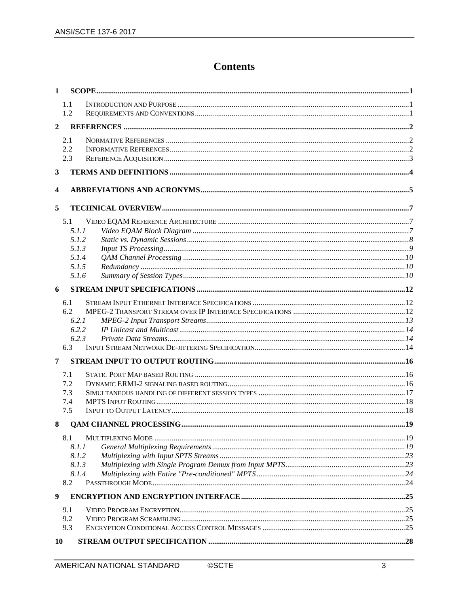## **Contents**

| $\mathbf{1}$            |              |  |
|-------------------------|--------------|--|
|                         | 1.1          |  |
|                         | 1.2          |  |
| $\overline{2}$          |              |  |
|                         |              |  |
|                         | 2.1          |  |
|                         | 2.2          |  |
|                         | 2.3          |  |
| 3                       |              |  |
| $\overline{\mathbf{4}}$ |              |  |
| 5                       |              |  |
|                         | 5.1          |  |
|                         | 5.1.1        |  |
|                         | 5.1.2        |  |
|                         | 5.1.3        |  |
|                         | 5.1.4        |  |
|                         | 5.1.5        |  |
|                         | 5.1.6        |  |
| 6                       |              |  |
|                         | 6.1          |  |
|                         | 6.2          |  |
|                         | 6.2.1        |  |
|                         | 6.2.2        |  |
|                         | 6.2.3<br>6.3 |  |
|                         |              |  |
| 7                       |              |  |
|                         | 7.1          |  |
|                         | 7.2          |  |
|                         | 7.3          |  |
|                         | 7.4          |  |
|                         | 7.5          |  |
| 8                       |              |  |
|                         | 8.1          |  |
|                         | 8.1.1        |  |
|                         | 8.1.2        |  |
|                         | 8.1.3        |  |
|                         | 8.1.4        |  |
|                         | 8.2          |  |
| 9                       |              |  |
|                         | 9.1          |  |
|                         | 9.2          |  |
|                         | 9.3          |  |
| 10                      |              |  |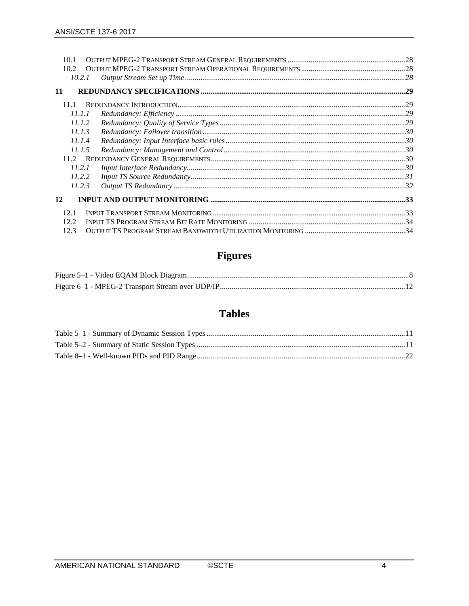| 10.1   |  |
|--------|--|
| 10.2   |  |
| 10.2.1 |  |
| 11     |  |
| 11 1   |  |
| 11.1.1 |  |
| 11.1.2 |  |
| 11.1.3 |  |
| 11.1.4 |  |
| 11.1.5 |  |
|        |  |
| 11.2.1 |  |
| 11.2.2 |  |
| 11.2.3 |  |
| 12     |  |
| 12.1   |  |
| 12.2   |  |
| 12.3   |  |

# Figures

## **Tables**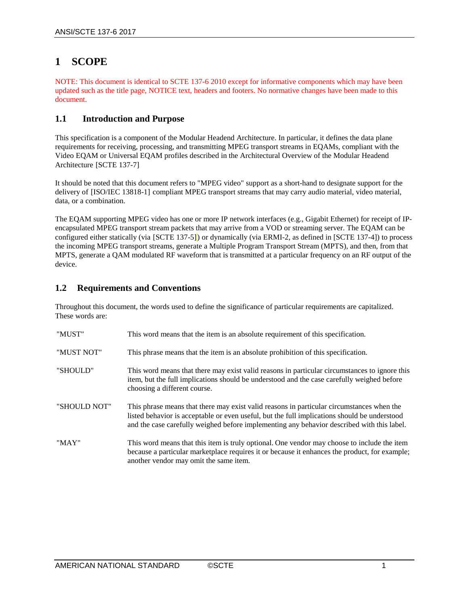## <span id="page-4-0"></span>**1 SCOPE**

NOTE: This document is identical to SCTE 137-6 2010 except for informative components which may have been updated such as the title page, NOTICE text, headers and footers. No normative changes have been made to this document.

## <span id="page-4-1"></span>**1.1 Introduction and Purpose**

This specification is a component of the Modular Headend Architecture. In particular, it defines the data plane requirements for receiving, processing, and transmitting MPEG transport streams in EQAMs, compliant with the Video EQAM or Universal EQAM profiles described in the Architectural Overview of the Modular Headend Architecture [SCTE 137-7].

It should be noted that this document refers to "MPEG video" support as a short-hand to designate support for the delivery of [ISO/IEC 13818-1] compliant MPEG transport streams that may carry audio material, video material, data, or a combination.

The EQAM supporting MPEG video has one or more IP network interfaces (e.g., Gigabit Ethernet) for receipt of IPencapsulated MPEG transport stream packets that may arrive from a VOD or streaming server. The EQAM can be configured either statically (via  $[SCTE 137-5]$ ) or dynamically (via ERMI-2, as defined in  $[SCTE 137-4]$ ) to process the incoming MPEG transport streams, generate a Multiple Program Transport Stream (MPTS), and then, from that MPTS, generate a QAM modulated RF waveform that is transmitted at a particular frequency on an RF output of the device.

### <span id="page-4-2"></span>**1.2 Requirements and Conventions**

Throughout this document, the words used to define the significance of particular requirements are capitalized. These words are:

| "MUST"       | This word means that the item is an absolute requirement of this specification.                                                                                                                                                                                                         |  |  |  |  |
|--------------|-----------------------------------------------------------------------------------------------------------------------------------------------------------------------------------------------------------------------------------------------------------------------------------------|--|--|--|--|
| "MUST NOT"   | This phrase means that the item is an absolute prohibition of this specification.                                                                                                                                                                                                       |  |  |  |  |
| "SHOULD"     | This word means that there may exist valid reasons in particular circumstances to ignore this<br>item, but the full implications should be understood and the case carefully weighed before<br>choosing a different course.                                                             |  |  |  |  |
| "SHOULD NOT" | This phrase means that there may exist valid reasons in particular circumstances when the<br>listed behavior is acceptable or even useful, but the full implications should be understood<br>and the case carefully weighed before implementing any behavior described with this label. |  |  |  |  |
| "MAY"        | This word means that this item is truly optional. One vendor may choose to include the item<br>because a particular marketplace requires it or because it enhances the product, for example;<br>another vendor may omit the same item.                                                  |  |  |  |  |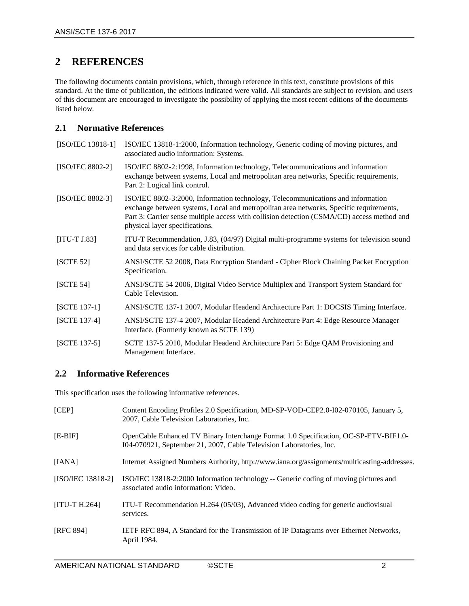## <span id="page-5-0"></span>**2 REFERENCES**

The following documents contain provisions, which, through reference in this text, constitute provisions of this standard. At the time of publication, the editions indicated were valid. All standards are subject to revision, and users of this document are encouraged to investigate the possibility of applying the most recent editions of the documents listed below.

## <span id="page-5-1"></span>**2.1 Normative References**

<span id="page-5-9"></span><span id="page-5-6"></span><span id="page-5-3"></span>

| [ISO/IEC 13818-1] | ISO/IEC 13818-1:2000, Information technology, Generic coding of moving pictures, and<br>associated audio information: Systems.                                                                                                                                                                            |
|-------------------|-----------------------------------------------------------------------------------------------------------------------------------------------------------------------------------------------------------------------------------------------------------------------------------------------------------|
| [ISO/IEC 8802-2]  | ISO/IEC 8802-2:1998, Information technology, Telecommunications and information<br>exchange between systems, Local and metropolitan area networks, Specific requirements,<br>Part 2: Logical link control.                                                                                                |
| [ISO/IEC 8802-3]  | ISO/IEC 8802-3:2000, Information technology, Telecommunications and information<br>exchange between systems, Local and metropolitan area networks, Specific requirements,<br>Part 3: Carrier sense multiple access with collision detection (CSMA/CD) access method and<br>physical layer specifications. |
| $[ITU-T J.83]$    | ITU-T Recommendation, J.83, (04/97) Digital multi-programme systems for television sound<br>and data services for cable distribution.                                                                                                                                                                     |
| [SCTE 52]         | ANSI/SCTE 52 2008, Data Encryption Standard - Cipher Block Chaining Packet Encryption<br>Specification.                                                                                                                                                                                                   |
| [SCTE 54]         | ANSI/SCTE 54 2006, Digital Video Service Multiplex and Transport System Standard for<br>Cable Television.                                                                                                                                                                                                 |
| $[SCTE 137-1]$    | ANSI/SCTE 137-1 2007, Modular Headend Architecture Part 1: DOCSIS Timing Interface.                                                                                                                                                                                                                       |
| [SCTE 137-4]      | ANSI/SCTE 137-4 2007, Modular Headend Architecture Part 4: Edge Resource Manager<br>Interface. (Formerly known as SCTE 139)                                                                                                                                                                               |
| $[SCTE 137-5]$    | SCTE 137-5 2010, Modular Headend Architecture Part 5: Edge QAM Provisioning and<br>Management Interface.                                                                                                                                                                                                  |

### <span id="page-5-14"></span><span id="page-5-10"></span><span id="page-5-5"></span><span id="page-5-4"></span><span id="page-5-2"></span>**2.2 Informative References**

This specification uses the following informative references.

<span id="page-5-13"></span><span id="page-5-12"></span><span id="page-5-11"></span><span id="page-5-8"></span><span id="page-5-7"></span>

| [CEP]               | Content Encoding Profiles 2.0 Specification, MD-SP-VOD-CEP2.0-I02-070105, January 5,<br>2007, Cable Television Laboratories, Inc.                           |  |  |
|---------------------|-------------------------------------------------------------------------------------------------------------------------------------------------------------|--|--|
| $[E-BIF]$           | OpenCable Enhanced TV Binary Interchange Format 1.0 Specification, OC-SP-ETV-BIF1.0-<br>I04-070921, September 21, 2007, Cable Television Laboratories, Inc. |  |  |
| [IANA]              | Internet Assigned Numbers Authority, http://www.iana.org/assignments/multicasting-addresses.                                                                |  |  |
| $[ISO/IEC 13818-2]$ | ISO/IEC 13818-2:2000 Information technology -- Generic coding of moving pictures and<br>associated audio information: Video.                                |  |  |
| $[ITU-T H.264]$     | ITU-T Recommendation H.264 (05/03), Advanced video coding for generic audiovisual<br>services.                                                              |  |  |
| [RFC 894]           | IETF RFC 894, A Standard for the Transmission of IP Datagrams over Ethernet Networks,<br>April 1984.                                                        |  |  |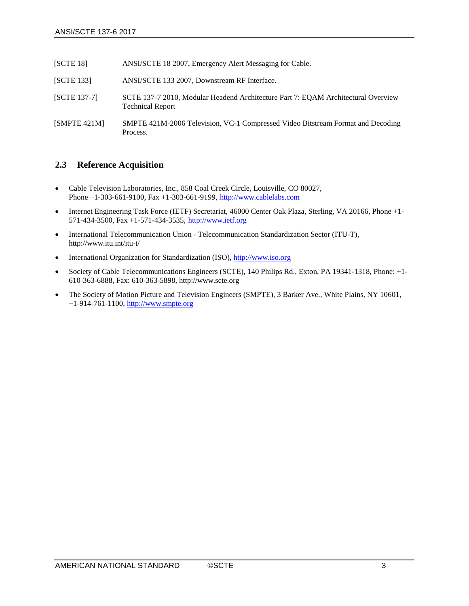<span id="page-6-2"></span><span id="page-6-1"></span>

| [SCTE 18]        | ANSI/SCTE 18 2007, Emergency Alert Messaging for Cable.                                                      |
|------------------|--------------------------------------------------------------------------------------------------------------|
| <b>SCTE 1331</b> | ANSI/SCTE 133 2007, Downstream RF Interface.                                                                 |
| [SCTE 137-7]     | SCTE 137-7 2010, Modular Headend Architecture Part 7: EOAM Architectural Overview<br><b>Technical Report</b> |
| [SMPTE 421M]     | SMPTE 421M-2006 Television, VC-1 Compressed Video Bitstream Format and Decoding<br>Process.                  |

## <span id="page-6-3"></span><span id="page-6-0"></span>**2.3 Reference Acquisition**

- Cable Television Laboratories, Inc., 858 Coal Creek Circle, Louisville, CO 80027, Phone +1-303-661-9100, Fax +1-303-661-9199, http://www.cablelabs.com
- Internet Engineering Task Force (IETF) Secretariat, 46000 Center Oak Plaza, Sterling, VA 20166, Phone +1- $571-434-3500$ , Fax  $+1-571-434-3535$ , http://www.ietf.org.
- International Telecommunication Union Telecommunication Standardization Sector (ITU-T), http://www.itu.int/itu-t/
- International Organization for Standardization (ISO), [http://www.iso.org](http://www.iso.org/)
- Society of Cable Telecommunications Engineers (SCTE), 140 Philips Rd., Exton, PA 19341-1318, Phone: +1-610-363-6888, Fax: 610-363-5898, http://www.scte.org
- The Society of Motion Picture and Television Engineers (SMPTE), 3 Barker Ave., White Plains, NY 10601, +1-914-761-1100, [http://www.smpte.org](http://www.smpte.org/)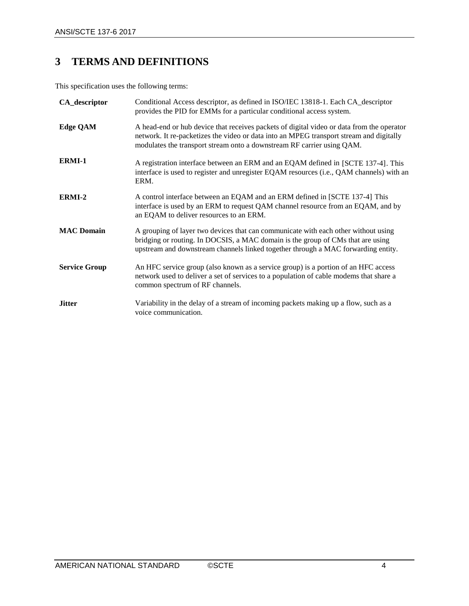## <span id="page-7-0"></span>**3 TERMS AND DEFINITIONS**

This specification uses the following terms:

| CA_descriptor        | Conditional Access descriptor, as defined in ISO/IEC 13818-1. Each CA_descriptor<br>provides the PID for EMMs for a particular conditional access system.                                                                                                      |  |  |  |
|----------------------|----------------------------------------------------------------------------------------------------------------------------------------------------------------------------------------------------------------------------------------------------------------|--|--|--|
| <b>Edge QAM</b>      | A head-end or hub device that receives packets of digital video or data from the operator<br>network. It re-packetizes the video or data into an MPEG transport stream and digitally<br>modulates the transport stream onto a downstream RF carrier using QAM. |  |  |  |
| ERMI-1               | A registration interface between an ERM and an EQAM defined in [SCTE 137-4]. This<br>interface is used to register and unregister EQAM resources (i.e., QAM channels) with an<br>ERM.                                                                          |  |  |  |
| ERMI-2               | A control interface between an EQAM and an ERM defined in [SCTE 137-4]. This<br>interface is used by an ERM to request QAM channel resource from an EQAM, and by<br>an EQAM to deliver resources to an ERM.                                                    |  |  |  |
| <b>MAC Domain</b>    | A grouping of layer two devices that can communicate with each other without using<br>bridging or routing. In DOCSIS, a MAC domain is the group of CMs that are using<br>upstream and downstream channels linked together through a MAC forwarding entity.     |  |  |  |
| <b>Service Group</b> | An HFC service group (also known as a service group) is a portion of an HFC access<br>network used to deliver a set of services to a population of cable modems that share a<br>common spectrum of RF channels.                                                |  |  |  |
| <b>Jitter</b>        | Variability in the delay of a stream of incoming packets making up a flow, such as a<br>voice communication.                                                                                                                                                   |  |  |  |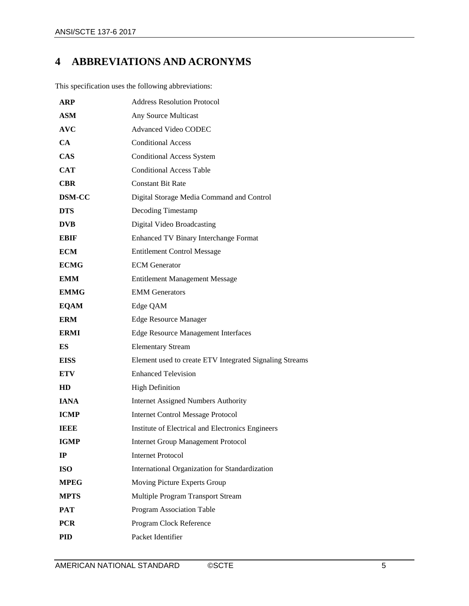## <span id="page-8-0"></span>**4 ABBREVIATIONS AND ACRONYMS**

This specification uses the following abbreviations:

| <b>ARP</b>    | <b>Address Resolution Protocol</b>                      |  |  |
|---------------|---------------------------------------------------------|--|--|
| <b>ASM</b>    | Any Source Multicast                                    |  |  |
| <b>AVC</b>    | <b>Advanced Video CODEC</b>                             |  |  |
| CA            | <b>Conditional Access</b>                               |  |  |
| <b>CAS</b>    | <b>Conditional Access System</b>                        |  |  |
| <b>CAT</b>    | <b>Conditional Access Table</b>                         |  |  |
| <b>CBR</b>    | <b>Constant Bit Rate</b>                                |  |  |
| <b>DSM-CC</b> | Digital Storage Media Command and Control               |  |  |
| <b>DTS</b>    | Decoding Timestamp                                      |  |  |
| <b>DVB</b>    | Digital Video Broadcasting                              |  |  |
| EBIF          | <b>Enhanced TV Binary Interchange Format</b>            |  |  |
| <b>ECM</b>    | <b>Entitlement Control Message</b>                      |  |  |
| <b>ECMG</b>   | <b>ECM</b> Generator                                    |  |  |
| <b>EMM</b>    | <b>Entitlement Management Message</b>                   |  |  |
| <b>EMMG</b>   | <b>EMM</b> Generators                                   |  |  |
| <b>EQAM</b>   | Edge QAM                                                |  |  |
| <b>ERM</b>    | <b>Edge Resource Manager</b>                            |  |  |
| <b>ERMI</b>   | <b>Edge Resource Management Interfaces</b>              |  |  |
| ES            | <b>Elementary Stream</b>                                |  |  |
| <b>EISS</b>   | Element used to create ETV Integrated Signaling Streams |  |  |
| <b>ETV</b>    | <b>Enhanced Television</b>                              |  |  |
| <b>HD</b>     | <b>High Definition</b>                                  |  |  |
| <b>IANA</b>   | <b>Internet Assigned Numbers Authority</b>              |  |  |
| <b>ICMP</b>   | <b>Internet Control Message Protocol</b>                |  |  |
| NODE          | Institute of Electrical and Electronics Engineers       |  |  |
| <b>IGMP</b>   | <b>Internet Group Management Protocol</b>               |  |  |
| IP            | <b>Internet Protocol</b>                                |  |  |
| <b>ISO</b>    | International Organization for Standardization          |  |  |
| <b>MPEG</b>   | Moving Picture Experts Group                            |  |  |
| <b>MPTS</b>   | Multiple Program Transport Stream                       |  |  |
| <b>PAT</b>    | <b>Program Association Table</b>                        |  |  |
| <b>PCR</b>    | Program Clock Reference                                 |  |  |
| <b>PID</b>    | Packet Identifier                                       |  |  |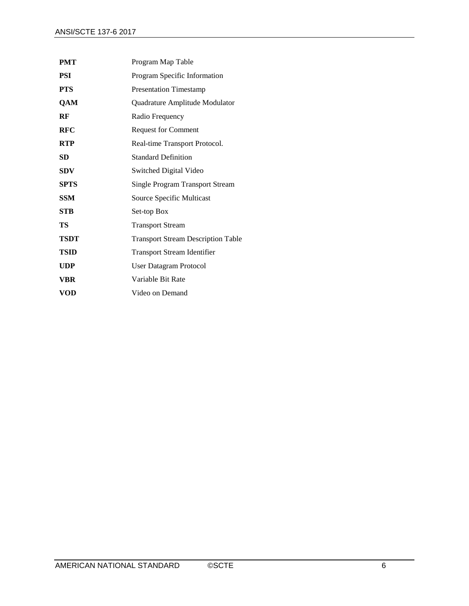| <b>PMT</b>  | Program Map Table                         |
|-------------|-------------------------------------------|
| <b>PSI</b>  | Program Specific Information              |
| <b>PTS</b>  | <b>Presentation Timestamp</b>             |
| QAM         | Quadrature Amplitude Modulator            |
| RF          | Radio Frequency                           |
| <b>RFC</b>  | <b>Request for Comment</b>                |
| <b>RTP</b>  | Real-time Transport Protocol.             |
| SD          | <b>Standard Definition</b>                |
| <b>SDV</b>  | Switched Digital Video                    |
| <b>SPTS</b> | Single Program Transport Stream           |
| <b>SSM</b>  | Source Specific Multicast                 |
| <b>STB</b>  | Set-top Box                               |
| TS          | <b>Transport Stream</b>                   |
| <b>TSDT</b> | <b>Transport Stream Description Table</b> |
| TSID        | <b>Transport Stream Identifier</b>        |
| <b>UDP</b>  | <b>User Datagram Protocol</b>             |
| <b>VBR</b>  | Variable Bit Rate                         |
| VOD         | Video on Demand                           |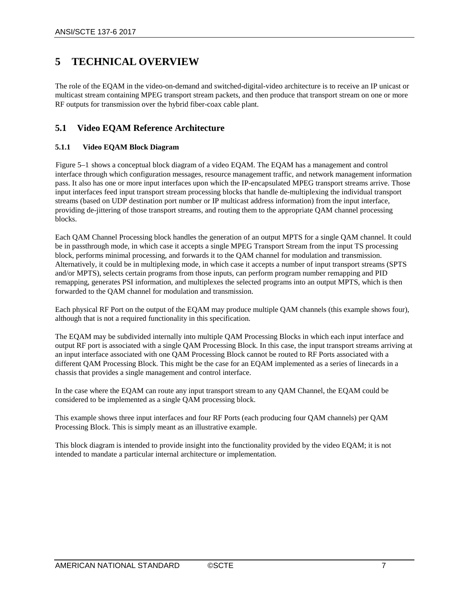## <span id="page-10-0"></span>**5 TECHNICAL OVERVIEW**

The role of the EQAM in the video-on-demand and switched-digital-video architecture is to receive an IP unicast or multicast stream containing MPEG transport stream packets, and then produce that transport stream on one or more RF outputs for transmission over the hybrid fiber-coax cable plant.

## <span id="page-10-1"></span>**5.1 Video EQAM Reference Architecture**

### <span id="page-10-2"></span>**5.1.1 Video EQAM Block Diagram**

Figure 5–1 shows a conceptual block diagram of a video EQAM. The EQAM has a management and control interface through which configuration messages, resource management traffic, and network management information pass. It also has one or more input interfaces upon which the IP-encapsulated MPEG transport streams arrive. Those input interfaces feed input transport stream processing blocks that handle de-multiplexing the individual transport streams (based on UDP destination port number or IP multicast address information) from the input interface, providing de-jittering of those transport streams, and routing them to the appropriate QAM channel processing blocks.

Each QAM Channel Processing block handles the generation of an output MPTS for a single QAM channel. It could be in passthrough mode, in which case it accepts a single MPEG Transport Stream from the input TS processing block, performs minimal processing, and forwards it to the QAM channel for modulation and transmission. Alternatively, it could be in multiplexing mode, in which case it accepts a number of input transport streams (SPTS and/or MPTS), selects certain programs from those inputs, can perform program number remapping and PID remapping, generates PSI information, and multiplexes the selected programs into an output MPTS, which is then forwarded to the QAM channel for modulation and transmission.

Each physical RF Port on the output of the EQAM may produce multiple QAM channels (this example shows four), although that is not a required functionality in this specification.

The EQAM may be subdivided internally into multiple QAM Processing Blocks in which each input interface and output RF port is associated with a single QAM Processing Block. In this case, the input transport streams arriving at an input interface associated with one QAM Processing Block cannot be routed to RF Ports associated with a different QAM Processing Block. This might be the case for an EQAM implemented as a series of linecards in a chassis that provides a single management and control interface.

In the case where the EQAM can route any input transport stream to any QAM Channel, the EQAM could be considered to be implemented as a single QAM processing block.

This example shows three input interfaces and four RF Ports (each producing four QAM channels) per QAM Processing Block. This is simply meant as an illustrative example.

This block diagram is intended to provide insight into the functionality provided by the video EQAM; it is not intended to mandate a particular internal architecture or implementation.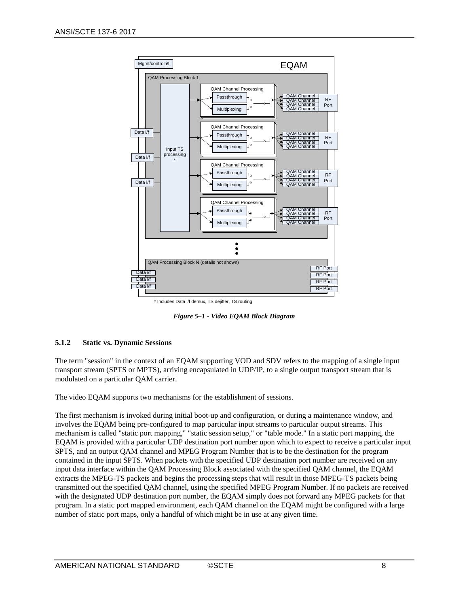

\* Includes Data i/f demux, TS dejitter, TS routing

*Figure 5–1 - Video EQAM Block Diagram*

#### <span id="page-11-1"></span><span id="page-11-0"></span>**5.1.2 Static vs. Dynamic Sessions**

The term "session" in the context of an EQAM supporting VOD and SDV refers to the mapping of a single input transport stream (SPTS or MPTS), arriving encapsulated in UDP/IP, to a single output transport stream that is modulated on a particular QAM carrier.

The video EQAM supports two mechanisms for the establishment of sessions.

The first mechanism is invoked during initial boot-up and configuration, or during a maintenance window, and involves the EQAM being pre-configured to map particular input streams to particular output streams. This mechanism is called "static port mapping," "static session setup," or "table mode." In a static port mapping, the EQAM is provided with a particular UDP destination port number upon which to expect to receive a particular input SPTS, and an output QAM channel and MPEG Program Number that is to be the destination for the program contained in the input SPTS. When packets with the specified UDP destination port number are received on any input data interface within the QAM Processing Block associated with the specified QAM channel, the EQAM extracts the MPEG-TS packets and begins the processing steps that will result in those MPEG-TS packets being transmitted out the specified QAM channel, using the specified MPEG Program Number. If no packets are received with the designated UDP destination port number, the EQAM simply does not forward any MPEG packets for that program. In a static port mapped environment, each QAM channel on the EQAM might be configured with a large number of static port maps, only a handful of which might be in use at any given time.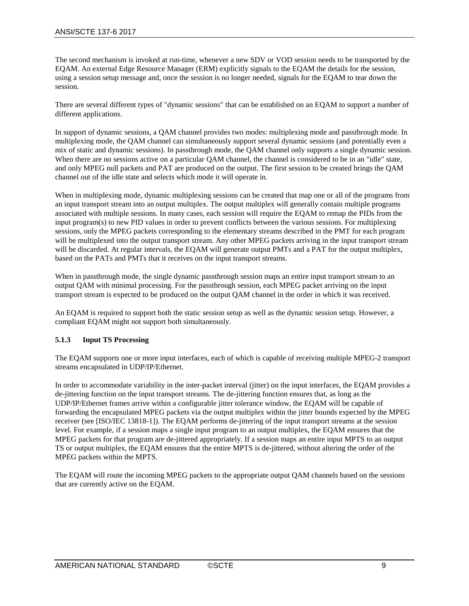The second mechanism is invoked at run-time, whenever a new SDV or VOD session needs to be transported by the EQAM. An external Edge Resource Manager (ERM) explicitly signals to the EQAM the details for the session, using a session setup message and, once the session is no longer needed, signals for the EQAM to tear down the session.

There are several different types of "dynamic sessions" that can be established on an EQAM to support a number of different applications.

In support of dynamic sessions, a QAM channel provides two modes: multiplexing mode and passthrough mode. In multiplexing mode, the QAM channel can simultaneously support several dynamic sessions (and potentially even a mix of static and dynamic sessions). In passthrough mode, the QAM channel only supports a single dynamic session. When there are no sessions active on a particular QAM channel, the channel is considered to be in an "idle" state, and only MPEG null packets and PAT are produced on the output. The first session to be created brings the QAM channel out of the idle state and selects which mode it will operate in.

When in multiplexing mode, dynamic multiplexing sessions can be created that map one or all of the programs from an input transport stream into an output multiplex. The output multiplex will generally contain multiple programs associated with multiple sessions. In many cases, each session will require the EQAM to remap the PIDs from the input program(s) to new PID values in order to prevent conflicts between the various sessions. For multiplexing sessions, only the MPEG packets corresponding to the elementary streams described in the PMT for each program will be multiplexed into the output transport stream. Any other MPEG packets arriving in the input transport stream will be discarded. At regular intervals, the EQAM will generate output PMTs and a PAT for the output multiplex, based on the PATs and PMTs that it receives on the input transport streams.

When in passthrough mode, the single dynamic passthrough session maps an entire input transport stream to an output QAM with minimal processing. For the passthrough session, each MPEG packet arriving on the input transport stream is expected to be produced on the output QAM channel in the order in which it was received.

An EQAM is required to support both the static session setup as well as the dynamic session setup. However, a compliant EQAM might not support both simultaneously.

#### <span id="page-12-0"></span>**5.1.3 Input TS Processing**

The EQAM supports one or more input interfaces, each of which is capable of receiving multiple MPEG-2 transport streams encapsulated in UDP/IP/Ethernet.

In order to accommodate variability in the inter-packet interval (jitter) on the input interfaces, the EQAM provides a de-jittering function on the input transport streams. The de-jittering function ensures that, as long as the UDP/IP/Ethernet frames arrive within a configurable jitter tolerance window, the EQAM will be capable of forwarding the encapsulated MPEG packets via the output multiplex within the jitter bounds expected by the MPEG receiver (see [\[ISO/IEC 13818-1\]\)](#page-5-3). The EQAM performs de-jittering of the input transport streams at the session level. For example, if a session maps a single input program to an output multiplex, the EQAM ensures that the MPEG packets for that program are de-jittered appropriately. If a session maps an entire input MPTS to an output TS or output multiplex, the EQAM ensures that the entire MPTS is de-jittered, without altering the order of the MPEG packets within the MPTS.

The EQAM will route the incoming MPEG packets to the appropriate output QAM channels based on the sessions that are currently active on the EQAM.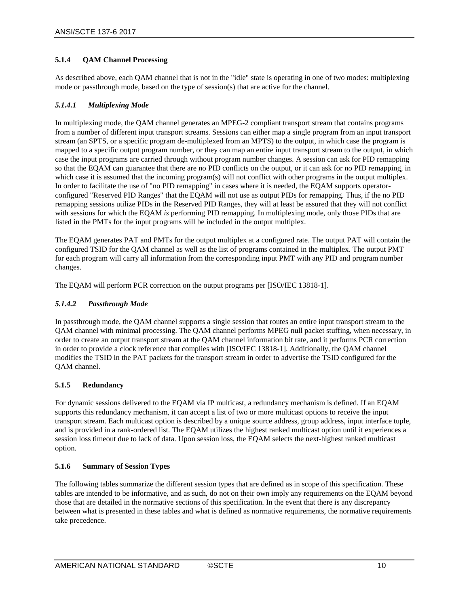#### <span id="page-13-0"></span>**5.1.4 QAM Channel Processing**

As described above, each QAM channel that is not in the "idle" state is operating in one of two modes: multiplexing mode or passthrough mode, based on the type of session(s) that are active for the channel.

#### *5.1.4.1 Multiplexing Mode*

In multiplexing mode, the QAM channel generates an MPEG-2 compliant transport stream that contains programs from a number of different input transport streams. Sessions can either map a single program from an input transport stream (an SPTS, or a specific program de-multiplexed from an MPTS) to the output, in which case the program is mapped to a specific output program number, or they can map an entire input transport stream to the output, in which case the input programs are carried through without program number changes. A session can ask for PID remapping so that the EQAM can guarantee that there are no PID conflicts on the output, or it can ask for no PID remapping, in which case it is assumed that the incoming program(s) will not conflict with other programs in the output multiplex. In order to facilitate the use of "no PID remapping" in cases where it is needed, the EQAM supports operatorconfigured "Reserved PID Ranges" that the EQAM will not use as output PIDs for remapping. Thus, if the no PID remapping sessions utilize PIDs in the Reserved PID Ranges, they will at least be assured that they will not conflict with sessions for which the EQAM *is* performing PID remapping. In multiplexing mode, only those PIDs that are listed in the PMTs for the input programs will be included in the output multiplex.

The EQAM generates PAT and PMTs for the output multiplex at a configured rate. The output PAT will contain the configured TSID for the QAM channel as well as the list of programs contained in the multiplex. The output PMT for each program will carry all information from the corresponding input PMT with any PID and program number changes.

The EQAM will perform PCR correction on the output programs per [\[ISO/IEC 13818-1\].](#page-5-3)

#### *5.1.4.2 Passthrough Mode*

In passthrough mode, the QAM channel supports a single session that routes an entire input transport stream to the QAM channel with minimal processing. The QAM channel performs MPEG null packet stuffing, when necessary, in order to create an output transport stream at the QAM channel information bit rate, and it performs PCR correction in order to provide a clock reference that complies with [\[ISO/IEC 13818-1\].](#page-5-3) Additionally, the QAM channel modifies the TSID in the PAT packets for the transport stream in order to advertise the TSID configured for the QAM channel.

#### <span id="page-13-1"></span>**5.1.5 Redundancy**

For dynamic sessions delivered to the EQAM via IP multicast, a redundancy mechanism is defined. If an EQAM supports this redundancy mechanism, it can accept a list of two or more multicast options to receive the input transport stream. Each multicast option is described by a unique source address, group address, input interface tuple, and is provided in a rank-ordered list. The EQAM utilizes the highest ranked multicast option until it experiences a session loss timeout due to lack of data. Upon session loss, the EQAM selects the next-highest ranked multicast option.

#### <span id="page-13-2"></span>**5.1.6 Summary of Session Types**

The following tables summarize the different session types that are defined as in scope of this specification. These tables are intended to be informative, and as such, do not on their own imply any requirements on the EQAM beyond those that are detailed in the normative sections of this specification. In the event that there is any discrepancy between what is presented in these tables and what is defined as normative requirements, the normative requirements take precedence.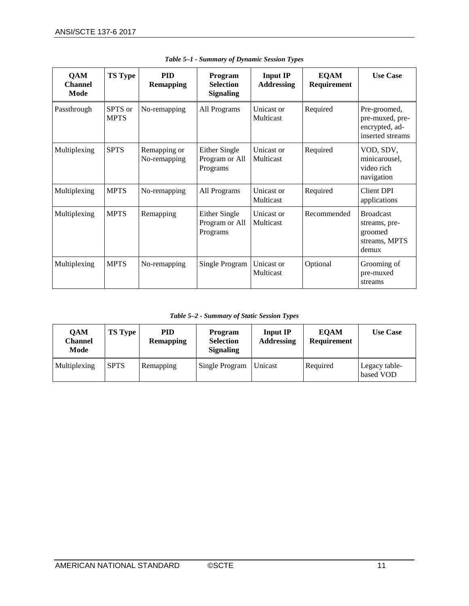<span id="page-14-0"></span>

| <b>QAM</b><br><b>Channel</b><br>Mode | TS Type                | <b>PID</b><br><b>Remapping</b> | <b>Program</b><br><b>Selection</b><br><b>Signaling</b> | <b>Input IP</b><br><b>Addressing</b> | <b>EQAM</b><br>Requirement | <b>Use Case</b>                                                        |
|--------------------------------------|------------------------|--------------------------------|--------------------------------------------------------|--------------------------------------|----------------------------|------------------------------------------------------------------------|
| Passthrough                          | SPTS or<br><b>MPTS</b> | No-remapping                   | All Programs                                           | Unicast or<br>Multicast              | Required                   | Pre-groomed,<br>pre-muxed, pre-<br>encrypted, ad-<br>inserted streams  |
| Multiplexing                         | <b>SPTS</b>            | Remapping or<br>No-remapping   | Either Single<br>Program or All<br>Programs            | Unicast or<br>Multicast              | Required                   | VOD, SDV,<br>minicarousel.<br>video rich<br>navigation                 |
| Multiplexing                         | <b>MPTS</b>            | No-remapping                   | All Programs                                           | Unicast or<br>Multicast              | Required                   | Client DPI<br>applications                                             |
| Multiplexing                         | <b>MPTS</b>            | Remapping                      | Either Single<br>Program or All<br>Programs            | Unicast or<br>Multicast              | Recommended                | <b>Broadcast</b><br>streams, pre-<br>groomed<br>streams, MPTS<br>demux |
| Multiplexing                         | <b>MPTS</b>            | No-remapping                   | Single Program                                         | Unicast or<br>Multicast              | Optional                   | Grooming of<br>pre-muxed<br>streams                                    |

*Table 5–1 - Summary of Dynamic Session Types*

*Table 5–2 - Summary of Static Session Types*

<span id="page-14-1"></span>

| <b>OAM</b><br><b>Channel</b><br>Mode | <b>TS Type</b> | <b>PID</b><br><b>Remapping</b> | Program<br><b>Selection</b><br><b>Signaling</b> | <b>Input IP</b><br><b>Addressing</b> | <b>EOAM</b><br>Requirement | <b>Use Case</b>            |
|--------------------------------------|----------------|--------------------------------|-------------------------------------------------|--------------------------------------|----------------------------|----------------------------|
| Multiplexing                         | <b>SPTS</b>    | Remapping                      | Single Program                                  | Unicast                              | Required                   | Legacy table-<br>based VOD |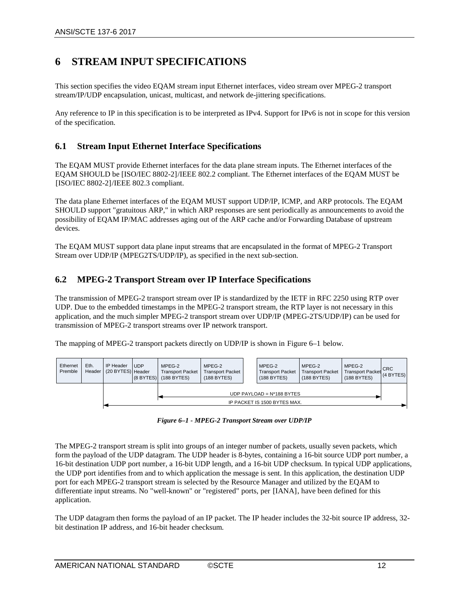## <span id="page-15-0"></span>**6 STREAM INPUT SPECIFICATIONS**

This section specifies the video EQAM stream input Ethernet interfaces, video stream over MPEG-2 transport stream/IP/UDP encapsulation, unicast, multicast, and network de-jittering specifications.

Any reference to IP in this specification is to be interpreted as IPv4. Support for IPv6 is not in scope for this version of the specification.

## <span id="page-15-1"></span>**6.1 Stream Input Ethernet Interface Specifications**

The EQAM MUST provide Ethernet interfaces for the data plane stream inputs. The Ethernet interfaces of the EQAM SHOULD be [ISO/IEC 8802-2]/IEEE 802.2 compliant. The Ethernet interfaces of the EQAM MUST be [ISO/IEC 8802-2]/IEEE 802.3 compliant.

The data plane Ethernet interfaces of the EQAM MUST support UDP/IP, ICMP, and ARP protocols. The EQAM SHOULD support "gratuitous ARP," in which ARP responses are sent periodically as announcements to avoid the possibility of EQAM IP/MAC addresses aging out of the ARP cache and/or Forwarding Database of upstream devices.

The EQAM MUST support data plane input streams that are encapsulated in the format of MPEG-2 Transport Stream over UDP/IP (MPEG2TS/UDP/IP), as specified in the next sub-section.

### <span id="page-15-2"></span>**6.2 MPEG-2 Transport Stream over IP Interface Specifications**

The transmission of MPEG-2 transport stream over IP is standardized by the IETF in RFC 2250 using RTP over UDP. Due to the embedded timestamps in the MPEG-2 transport stream, the RTP layer is not necessary in this application, and the much simpler MPEG-2 transport stream over UDP/IP (MPEG-2TS/UDP/IP) can be used for transmission of MPEG-2 transport streams over IP network transport.

The mapping of MPEG-2 transport packets directly on  $\text{UDP/IP}$  is shown in Figure 6–1 below.



*Figure 6–1 - MPEG-2 Transport Stream over UDP/IP*

<span id="page-15-3"></span>The MPEG-2 transport stream is split into groups of an integer number of packets, usually seven packets, which form the payload of the UDP datagram. The UDP header is 8-bytes, containing a 16-bit source UDP port number, a 16-bit destination UDP port number, a 16-bit UDP length, and a 16-bit UDP checksum. In typical UDP applications, the UDP port identifies from and to which application the message is sent. In this application, the destination UDP port for each MPEG-2 transport stream is selected by the Resource Manager and utilized by the EQAM to differentiate input streams. No "well-known" or "registered" ports, per [IANA], have been defined for this application.

The UDP datagram then forms the payload of an IP packet. The IP header includes the 32-bit source IP address, 32 bit destination IP address, and 16-bit header checksum.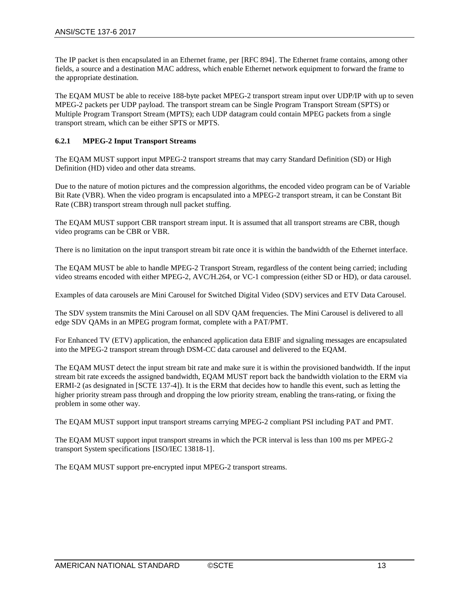The IP packet is then encapsulated in an Ethernet frame, per [RFC 894]. The Ethernet frame contains, among other fields, a source and a destination MAC address, which enable Ethernet network equipment to forward the frame to the appropriate destination.

The EQAM MUST be able to receive 188-byte packet MPEG-2 transport stream input over UDP/IP with up to seven MPEG-2 packets per UDP payload. The transport stream can be Single Program Transport Stream (SPTS) or Multiple Program Transport Stream (MPTS); each UDP datagram could contain MPEG packets from a single transport stream, which can be either SPTS or MPTS.

#### <span id="page-16-0"></span>**6.2.1 MPEG-2 Input Transport Streams**

The EQAM MUST support input MPEG-2 transport streams that may carry Standard Definition (SD) or High Definition (HD) video and other data streams.

Due to the nature of motion pictures and the compression algorithms, the encoded video program can be of Variable Bit Rate (VBR). When the video program is encapsulated into a MPEG-2 transport stream, it can be Constant Bit Rate (CBR) transport stream through null packet stuffing.

The EQAM MUST support CBR transport stream input. It is assumed that all transport streams are CBR, though video programs can be CBR or VBR.

There is no limitation on the input transport stream bit rate once it is within the bandwidth of the Ethernet interface.

The EQAM MUST be able to handle MPEG-2 Transport Stream, regardless of the content being carried; including video streams encoded with either MPEG-2, AVC/H.264, or VC-1 compression (either SD or HD), or data carousel.

Examples of data carousels are Mini Carousel for Switched Digital Video (SDV) services and ETV Data Carousel.

The SDV system transmits the Mini Carousel on all SDV QAM frequencies. The Mini Carousel is delivered to all edge SDV QAMs in an MPEG program format, complete with a PAT/PMT.

For Enhanced TV (ETV) application, the enhanced application data EBIF and signaling messages are encapsulated into the MPEG-2 transport stream through DSM-CC data carousel and delivered to the EQAM.

The EQAM MUST detect the input stream bit rate and make sure it is within the provisioned bandwidth. If the input stream bit rate exceeds the assigned bandwidth, EQAM MUST report back the bandwidth violation to the ERM via ERMI-2 (as designated in [\[SCTE 137-4\]\)](#page-5-5). It is the ERM that decides how to handle this event, such as letting the higher priority stream pass through and dropping the low priority stream, enabling the trans-rating, or fixing the problem in some other way.

The EQAM MUST support input transport streams carrying MPEG-2 compliant PSI including PAT and PMT.

The EQAM MUST support input transport streams in which the PCR interval is less than 100 ms per MPEG-2 transport System specifications [ISO/IEC 13818-1].

The EQAM MUST support pre-encrypted input MPEG-2 transport streams.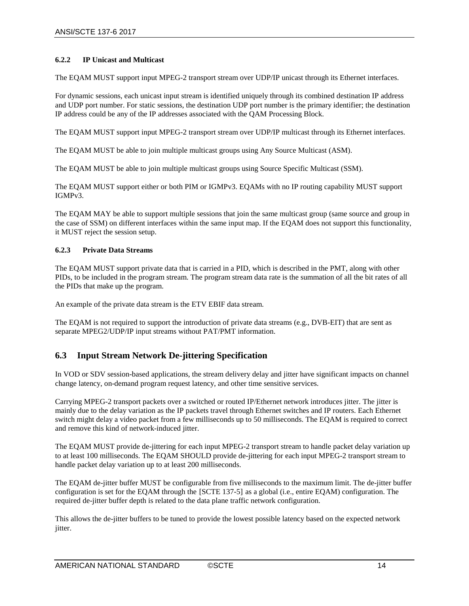#### <span id="page-17-0"></span>**6.2.2 IP Unicast and Multicast**

The EQAM MUST support input MPEG-2 transport stream over UDP/IP unicast through its Ethernet interfaces.

For dynamic sessions, each unicast input stream is identified uniquely through its combined destination IP address and UDP port number. For static sessions, the destination UDP port number is the primary identifier; the destination IP address could be any of the IP addresses associated with the QAM Processing Block.

The EQAM MUST support input MPEG-2 transport stream over UDP/IP multicast through its Ethernet interfaces.

The EQAM MUST be able to join multiple multicast groups using Any Source Multicast (ASM).

The EQAM MUST be able to join multiple multicast groups using Source Specific Multicast (SSM).

The EQAM MUST support either or both PIM or IGMPv3. EQAMs with no IP routing capability MUST support IGMPv3.

The EQAM MAY be able to support multiple sessions that join the same multicast group (same source and group in the case of SSM) on different interfaces within the same input map. If the EQAM does not support this functionality, it MUST reject the session setup.

#### <span id="page-17-1"></span>**6.2.3 Private Data Streams**

The EQAM MUST support private data that is carried in a PID, which is described in the PMT, along with other PIDs, to be included in the program stream. The program stream data rate is the summation of all the bit rates of all the PIDs that make up the program.

An example of the private data stream is the ETV EBIF data stream.

The EQAM is not required to support the introduction of private data streams (e.g., DVB-EIT) that are sent as separate MPEG2/UDP/IP input streams without PAT/PMT information.

#### <span id="page-17-2"></span>**6.3 Input Stream Network De-jittering Specification**

In VOD or SDV session-based applications, the stream delivery delay and jitter have significant impacts on channel change latency, on-demand program request latency, and other time sensitive services.

Carrying MPEG-2 transport packets over a switched or routed IP/Ethernet network introduces jitter. The jitter is mainly due to the delay variation as the IP packets travel through Ethernet switches and IP routers. Each Ethernet switch might delay a video packet from a few milliseconds up to 50 milliseconds. The EQAM is required to correct and remove this kind of network-induced jitter.

The EQAM MUST provide de-jittering for each input MPEG-2 transport stream to handle packet delay variation up to at least 100 milliseconds. The EQAM SHOULD provide de-jittering for each input MPEG-2 transport stream to handle packet delay variation up to at least 200 milliseconds.

The EQAM de-jitter buffer MUST be configurable from five milliseconds to the maximum limit. The de-jitter buffer configuration is set for the EQAM through the [SCTE 137-5] as a global (i.e., entire EQAM) configuration. The required de-jitter buffer depth is related to the data plane traffic network configuration.

This allows the de-jitter buffers to be tuned to provide the lowest possible latency based on the expected network iitter.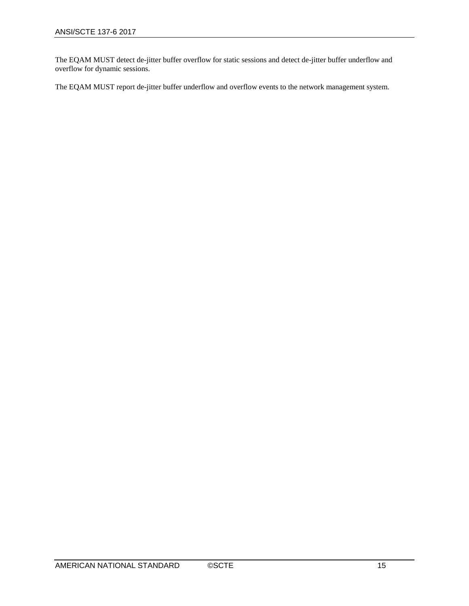The EQAM MUST detect de-jitter buffer overflow for static sessions and detect de-jitter buffer underflow and overflow for dynamic sessions.

The EQAM MUST report de-jitter buffer underflow and overflow events to the network management system.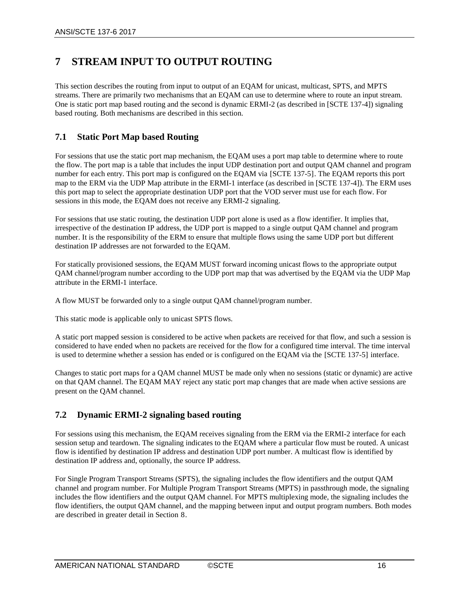## <span id="page-19-0"></span>**7 STREAM INPUT TO OUTPUT ROUTING**

This section describes the routing from input to output of an EQAM for unicast, multicast, SPTS, and MPTS streams. There are primarily two mechanisms that an EQAM can use to determine where to route an input stream. One is static port map based routing and the second is dynamic ERMI-2 (as described in [\[SCTE 137-4\]\)](#page-5-5) signaling based routing. Both mechanisms are described in this section.

## <span id="page-19-1"></span>**7.1 Static Port Map based Routing**

For sessions that use the static port map mechanism, the EQAM uses a port map table to determine where to route the flow. The port map is a table that includes the input UDP destination port and output QAM channel and program number for each entry. This port map is configured on the EQAM via [SCTE 137-5]. The EQAM reports this port map to the ERM via the UDP Map attribute in the ERMI-1 interface (as described in [\[SCTE 137-4\]\)](#page-5-5). The ERM uses this port map to select the appropriate destination UDP port that the VOD server must use for each flow. For sessions in this mode, the EQAM does not receive any ERMI-2 signaling.

For sessions that use static routing, the destination UDP port alone is used as a flow identifier. It implies that, irrespective of the destination IP address, the UDP port is mapped to a single output QAM channel and program number. It is the responsibility of the ERM to ensure that multiple flows using the same UDP port but different destination IP addresses are not forwarded to the EQAM.

For statically provisioned sessions, the EQAM MUST forward incoming unicast flows to the appropriate output QAM channel/program number according to the UDP port map that was advertised by the EQAM via the UDP Map attribute in the ERMI-1 interface.

A flow MUST be forwarded only to a single output QAM channel/program number.

This static mode is applicable only to unicast SPTS flows.

A static port mapped session is considered to be active when packets are received for that flow, and such a session is considered to have ended when no packets are received for the flow for a configured time interval. The time interval is used to determine whether a session has ended or is configured on the EQAM via the [SCTE 137-5] interface.

Changes to static port maps for a QAM channel MUST be made only when no sessions (static or dynamic) are active on that QAM channel. The EQAM MAY reject any static port map changes that are made when active sessions are present on the QAM channel.

### <span id="page-19-2"></span>**7.2 Dynamic ERMI-2 signaling based routing**

For sessions using this mechanism, the EQAM receives signaling from the ERM via the ERMI-2 interface for each session setup and teardown. The signaling indicates to the EQAM where a particular flow must be routed. A unicast flow is identified by destination IP address and destination UDP port number. A multicast flow is identified by destination IP address and, optionally, the source IP address.

For Single Program Transport Streams (SPTS), the signaling includes the flow identifiers and the output QAM channel and program number. For Multiple Program Transport Streams (MPTS) in passthrough mode, the signaling includes the flow identifiers and the output QAM channel. For MPTS multiplexing mode, the signaling includes the flow identifiers, the output QAM channel, and the mapping between input and output program numbers. Both modes are described in greater detail in Section 8.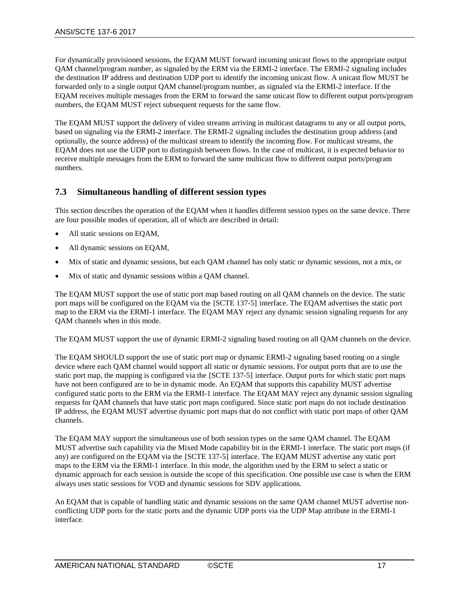For dynamically provisioned sessions, the EQAM MUST forward incoming unicast flows to the appropriate output QAM channel/program number, as signaled by the ERM via the ERMI-2 interface. The ERMI-2 signaling includes the destination IP address and destination UDP port to identify the incoming unicast flow. A unicast flow MUST be forwarded only to a single output QAM channel/program number, as signaled via the ERMI-2 interface. If the EQAM receives multiple messages from the ERM to forward the same unicast flow to different output ports/program numbers, the EQAM MUST reject subsequent requests for the same flow.

The EQAM MUST support the delivery of video streams arriving in multicast datagrams to any or all output ports, based on signaling via the ERMI-2 interface. The ERMI-2 signaling includes the destination group address (and optionally, the source address) of the multicast stream to identify the incoming flow. For multicast streams, the EQAM does not use the UDP port to distinguish between flows. In the case of multicast, it is expected behavior to receive multiple messages from the ERM to forward the same multicast flow to different output ports/program numbers.

### <span id="page-20-0"></span>**7.3 Simultaneous handling of different session types**

This section describes the operation of the EQAM when it handles different session types on the same device. There are four possible modes of operation, all of which are described in detail:

- All static sessions on EQAM,
- All dynamic sessions on EQAM,
- Mix of static and dynamic sessions, but each QAM channel has only static or dynamic sessions, not a mix, or
- Mix of static and dynamic sessions within a QAM channel.

The EQAM MUST support the use of static port map based routing on all QAM channels on the device. The static port maps will be configured on the EQAM via the [SCTE 137-5] interface. The EQAM advertises the static port map to the ERM via the ERMI-1 interface. The EQAM MAY reject any dynamic session signaling requests for any QAM channels when in this mode.

The EQAM MUST support the use of dynamic ERMI-2 signaling based routing on all QAM channels on the device.

The EQAM SHOULD support the use of static port map or dynamic ERMI-2 signaling based routing on a single device where each QAM channel would support all static or dynamic sessions. For output ports that are to use the static port map, the mapping is configured via the [SCTE 137-5] interface. Output ports for which static port maps have not been configured are to be in dynamic mode. An EQAM that supports this capability MUST advertise configured static ports to the ERM via the ERMI-1 interface. The EQAM MAY reject any dynamic session signaling requests for QAM channels that have static port maps configured. Since static port maps do not include destination IP address, the EQAM MUST advertise dynamic port maps that do not conflict with static port maps of other QAM channels.

The EQAM MAY support the simultaneous use of both session types on the same QAM channel. The EQAM MUST advertise such capability via the Mixed Mode capability bit in the ERMI-1 interface. The static port maps (if any) are configured on the EQAM via the [SCTE 137-5] interface. The EQAM MUST advertise any static port maps to the ERM via the ERMI-1 interface. In this mode, the algorithm used by the ERM to select a static or dynamic approach for each session is outside the scope of this specification. One possible use case is when the ERM always uses static sessions for VOD and dynamic sessions for SDV applications.

An EQAM that is capable of handling static and dynamic sessions on the same QAM channel MUST advertise nonconflicting UDP ports for the static ports and the dynamic UDP ports via the UDP Map attribute in the ERMI-1 interface.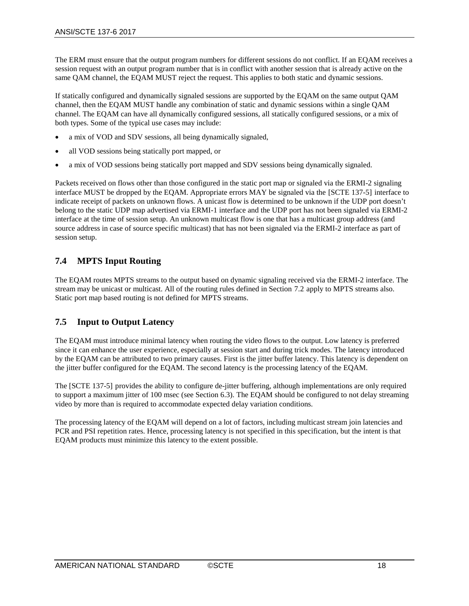The ERM must ensure that the output program numbers for different sessions do not conflict. If an EQAM receives a session request with an output program number that is in conflict with another session that is already active on the same QAM channel, the EQAM MUST reject the request. This applies to both static and dynamic sessions.

If statically configured and dynamically signaled sessions are supported by the EQAM on the same output QAM channel, then the EQAM MUST handle any combination of static and dynamic sessions within a single QAM channel. The EQAM can have all dynamically configured sessions, all statically configured sessions, or a mix of both types. Some of the typical use cases may include:

- a mix of VOD and SDV sessions, all being dynamically signaled,
- all VOD sessions being statically port mapped, or
- a mix of VOD sessions being statically port mapped and SDV sessions being dynamically signaled.

Packets received on flows other than those configured in the static port map or signaled via the ERMI-2 signaling interface MUST be dropped by the EQAM. Appropriate errors MAY be signaled via the [SCTE 137-5] interface to indicate receipt of packets on unknown flows. A unicast flow is determined to be unknown if the UDP port doesn't belong to the static UDP map advertised via ERMI-1 interface and the UDP port has not been signaled via ERMI-2 interface at the time of session setup. An unknown multicast flow is one that has a multicast group address (and source address in case of source specific multicast) that has not been signaled via the ERMI-2 interface as part of session setup.

## <span id="page-21-0"></span>**7.4 MPTS Input Routing**

The EQAM routes MPTS streams to the output based on dynamic signaling received via the ERMI-2 interface. The stream may be unicast or multicast. All of the routing rules defined in Section 7.2 apply to MPTS streams also. Static port map based routing is not defined for MPTS streams.

## <span id="page-21-1"></span>**7.5 Input to Output Latency**

The EQAM must introduce minimal latency when routing the video flows to the output. Low latency is preferred since it can enhance the user experience, especially at session start and during trick modes. The latency introduced by the EQAM can be attributed to two primary causes. First is the jitter buffer latency. This latency is dependent on the jitter buffer configured for the EQAM. The second latency is the processing latency of the EQAM.

The [SCTE 137-5] provides the ability to configure de-jitter buffering, although implementations are only required to support a maximum jitter of 100 msec (see Sectio[n 6.3\)](#page-17-2). The EQAM should be configured to not delay streaming video by more than is required to accommodate expected delay variation conditions.

The processing latency of the EQAM will depend on a lot of factors, including multicast stream join latencies and PCR and PSI repetition rates. Hence, processing latency is not specified in this specification, but the intent is that EQAM products must minimize this latency to the extent possible.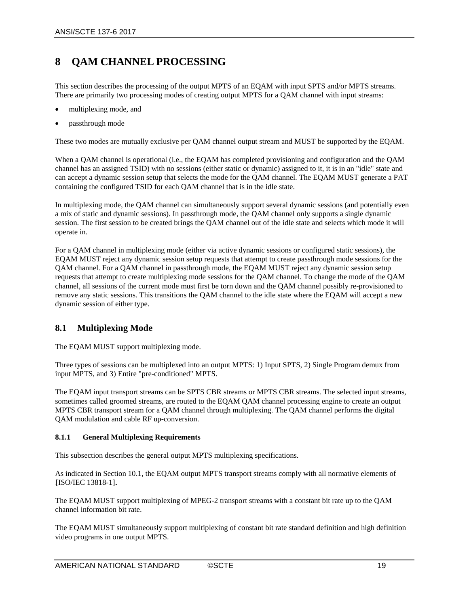## <span id="page-22-0"></span>**8 QAM CHANNEL PROCESSING**

This section describes the processing of the output MPTS of an EQAM with input SPTS and/or MPTS streams. There are primarily two processing modes of creating output MPTS for a QAM channel with input streams:

- multiplexing mode, and
- passthrough mode

These two modes are mutually exclusive per QAM channel output stream and MUST be supported by the EQAM.

When a QAM channel is operational (i.e., the EQAM has completed provisioning and configuration and the QAM channel has an assigned TSID) with no sessions (either static or dynamic) assigned to it, it is in an "idle" state and can accept a dynamic session setup that selects the mode for the QAM channel. The EQAM MUST generate a PAT containing the configured TSID for each QAM channel that is in the idle state.

In multiplexing mode, the QAM channel can simultaneously support several dynamic sessions (and potentially even a mix of static and dynamic sessions). In passthrough mode, the QAM channel only supports a single dynamic session. The first session to be created brings the QAM channel out of the idle state and selects which mode it will operate in.

For a QAM channel in multiplexing mode (either via active dynamic sessions or configured static sessions), the EQAM MUST reject any dynamic session setup requests that attempt to create passthrough mode sessions for the QAM channel. For a QAM channel in passthrough mode, the EQAM MUST reject any dynamic session setup requests that attempt to create multiplexing mode sessions for the QAM channel. To change the mode of the QAM channel, all sessions of the current mode must first be torn down and the QAM channel possibly re-provisioned to remove any static sessions. This transitions the QAM channel to the idle state where the EQAM will accept a new dynamic session of either type.

### <span id="page-22-1"></span>**8.1 Multiplexing Mode**

The EQAM MUST support multiplexing mode.

Three types of sessions can be multiplexed into an output MPTS: 1) Input SPTS, 2) Single Program demux from input MPTS, and 3) Entire "pre-conditioned" MPTS.

The EQAM input transport streams can be SPTS CBR streams or MPTS CBR streams. The selected input streams, sometimes called groomed streams, are routed to the EQAM QAM channel processing engine to create an output MPTS CBR transport stream for a QAM channel through multiplexing. The QAM channel performs the digital QAM modulation and cable RF up-conversion.

#### <span id="page-22-2"></span>**8.1.1 General Multiplexing Requirements**

This subsection describes the general output MPTS multiplexing specifications.

As indicated in Section [10.1,](#page-31-1) the EQAM output MPTS transport streams comply with all normative elements of  $[ISO/IEC 13818-1]$ .

The EQAM MUST support multiplexing of MPEG-2 transport streams with a constant bit rate up to the QAM channel information bit rate.

The EQAM MUST simultaneously support multiplexing of constant bit rate standard definition and high definition video programs in one output MPTS.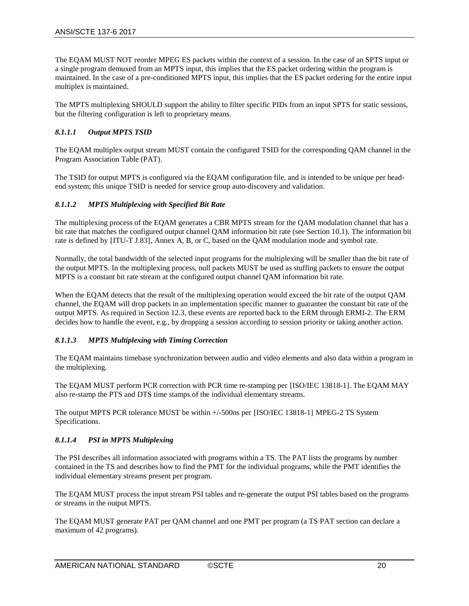The EQAM MUST NOT reorder MPEG ES packets within the context of a session. In the case of an SPTS input or a single program demuxed from an MPTS input, this implies that the ES packet ordering within the program is maintained. In the case of a pre-conditioned MPTS input, this implies that the ES packet ordering for the entire input multiplex is maintained.

The MPTS multiplexing SHOULD support the ability to filter specific PIDs from an input SPTS for static sessions, but the filtering configuration is left to proprietary means.

#### *8.1.1.1 Output MPTS TSID*

The EQAM multiplex output stream MUST contain the configured TSID for the corresponding QAM channel in the Program Association Table (PAT).

The TSID for output MPTS is configured via the EQAM configuration file, and is intended to be unique per headend system; this unique TSID is needed for service group auto-discovery and validation.

#### *8.1.1.2 MPTS Multiplexing with Specified Bit Rate*

The multiplexing process of the EQAM generates a CBR MPTS stream for the QAM modulation channel that has a bit rate that matches the configured output channel QAM information bit rate (see Section [10.1\)](#page-31-1). The information bit rate is defined by [ITU-T J.83], Annex A, B, or C, based on the QAM modulation mode and symbol rate.

Normally, the total bandwidth of the selected input programs for the multiplexing will be smaller than the bit rate of the output MPTS. In the multiplexing process, null packets MUST be used as stuffing packets to ensure the output MPTS is a constant bit rate stream at the configured output channel QAM information bit rate.

When the EQAM detects that the result of the multiplexing operation would exceed the bit rate of the output QAM channel, the EQAM will drop packets in an implementation specific manner to guarantee the constant bit rate of the output MPTS. As required in Section [12.3,](#page-37-1) these events are reported back to the ERM through ERMI-2. The ERM decides how to handle the event, e.g., by dropping a session according to session priority or taking another action.

#### *8.1.1.3 MPTS Multiplexing with Timing Correction*

The EQAM maintains timebase synchronization between audio and video elements and also data within a program in the multiplexing.

The EQAM MUST perform PCR correction with PCR time re-stamping per [ISO/IEC 13818-1]. The EQAM MAY also re-stamp the PTS and DTS time stamps of the individual elementary streams.

The output MPTS PCR tolerance MUST be within +/-500ns per [ISO/IEC 13818-1] MPEG-2 TS System Specifications.

#### *8.1.1.4 PSI in MPTS Multiplexing*

The PSI describes all information associated with programs within a TS. The PAT lists the programs by number contained in the TS and describes how to find the PMT for the individual programs, while the PMT identifies the individual elementary streams present per program.

The EQAM MUST process the input stream PSI tables and re-generate the output PSI tables based on the programs or streams in the output MPTS.

The EQAM MUST generate PAT per QAM channel and one PMT per program (a TS PAT section can declare a maximum of 42 programs).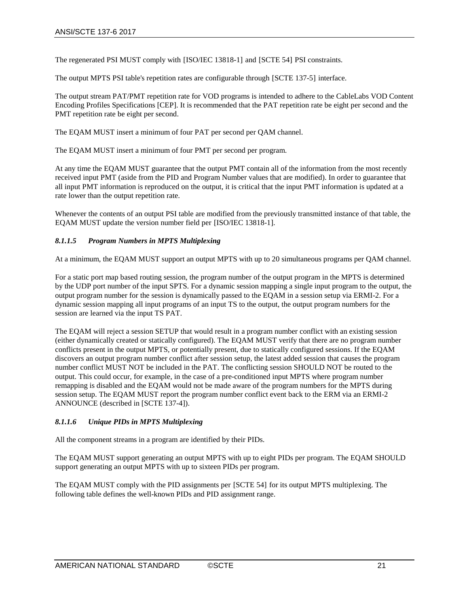The regenerated PSI MUST comply with [ISO/IEC 13818-1] and [SCTE 54] PSI constraints.

The output MPTS PSI table's repetition rates are configurable through [SCTE 137-5] interface.

The output stream PAT/PMT repetition rate for VOD programs is intended to adhere to the CableLabs VOD Content Encoding Profiles Specifications [\[CEP\].](#page-5-11) It is recommended that the PAT repetition rate be eight per second and the PMT repetition rate be eight per second.

The EQAM MUST insert a minimum of four PAT per second per QAM channel.

The EQAM MUST insert a minimum of four PMT per second per program.

At any time the EQAM MUST guarantee that the output PMT contain all of the information from the most recently received input PMT (aside from the PID and Program Number values that are modified). In order to guarantee that all input PMT information is reproduced on the output, it is critical that the input PMT information is updated at a rate lower than the output repetition rate.

Whenever the contents of an output PSI table are modified from the previously transmitted instance of that table, the EQAM MUST update the version number field per [ISO/IEC 13818-1].

#### *8.1.1.5 Program Numbers in MPTS Multiplexing*

At a minimum, the EQAM MUST support an output MPTS with up to 20 simultaneous programs per QAM channel.

For a static port map based routing session, the program number of the output program in the MPTS is determined by the UDP port number of the input SPTS. For a dynamic session mapping a single input program to the output, the output program number for the session is dynamically passed to the EQAM in a session setup via ERMI-2. For a dynamic session mapping all input programs of an input TS to the output, the output program numbers for the session are learned via the input TS PAT.

The EQAM will reject a session SETUP that would result in a program number conflict with an existing session (either dynamically created or statically configured). The EQAM MUST verify that there are no program number conflicts present in the output MPTS, or potentially present, due to statically configured sessions. If the EQAM discovers an output program number conflict after session setup, the latest added session that causes the program number conflict MUST NOT be included in the PAT. The conflicting session SHOULD NOT be routed to the output. This could occur, for example, in the case of a pre-conditioned input MPTS where program number remapping is disabled and the EQAM would not be made aware of the program numbers for the MPTS during session setup. The EQAM MUST report the program number conflict event back to the ERM via an ERMI-2 ANNOUNCE (described in [\[SCTE 137-4\]\)](#page-5-5).

#### *8.1.1.6 Unique PIDs in MPTS Multiplexing*

All the component streams in a program are identified by their PIDs.

The EQAM MUST support generating an output MPTS with up to eight PIDs per program. The EQAM SHOULD support generating an output MPTS with up to sixteen PIDs per program.

The EQAM MUST comply with the PID assignments per [SCTE 54] for its output MPTS multiplexing. The following table defines the well-known PIDs and PID assignment range.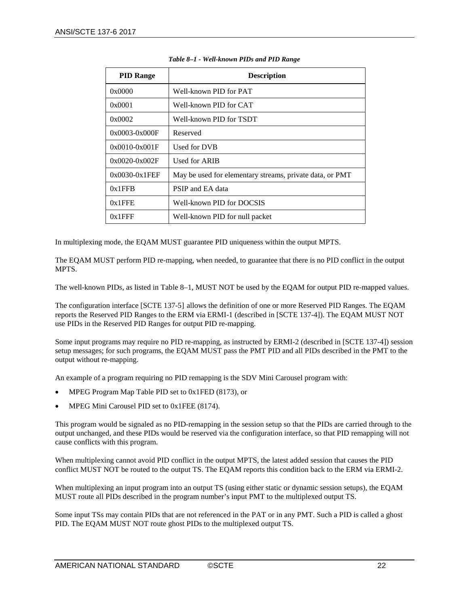<span id="page-25-0"></span>

| <b>PID Range</b>  | <b>Description</b>                                       |  |  |  |
|-------------------|----------------------------------------------------------|--|--|--|
| 0x0000            | Well-known PID for PAT                                   |  |  |  |
| 0x0001            | Well-known PID for CAT                                   |  |  |  |
| 0x0002            | Well-known PID for TSDT                                  |  |  |  |
| $0x0003 - 0x000F$ | Reserved                                                 |  |  |  |
| $0x0010-0x001F$   | Used for DVB                                             |  |  |  |
| $0x0020 - 0x002F$ | Used for ARIB                                            |  |  |  |
| $0x0030-0x1FEF$   | May be used for elementary streams, private data, or PMT |  |  |  |
| $0x1$ FFB         | <b>PSIP</b> and EA data                                  |  |  |  |
| $0x1$ FFE         | Well-known PID for DOCSIS                                |  |  |  |
| $0x1$ FFF         | Well-known PID for null packet                           |  |  |  |

#### *Table 8–1 - Well-known PIDs and PID Range*

In multiplexing mode, the EQAM MUST guarantee PID uniqueness within the output MPTS.

The EQAM MUST perform PID re-mapping, when needed, to guarantee that there is no PID conflict in the output MPTS.

The well-known PIDs, as listed i[n Table](#page-25-0) 8–1, MUST NOT be used by the EQAM for output PID re-mapped values.

The configuration interface [SCTE 137-5] allows the definition of one or more Reserved PID Ranges. The EQAM reports the Reserved PID Ranges to the ERM via ERMI-1 (described in [\[SCTE 137-4\]\)](#page-5-5). The EQAM MUST NOT use PIDs in the Reserved PID Ranges for output PID re-mapping.

Some input programs may require no PID re-mapping, as instructed by ERMI-2 (described in [\[SCTE 137-4\]\)](#page-5-5) session setup messages; for such programs, the EQAM MUST pass the PMT PID and all PIDs described in the PMT to the output without re-mapping.

An example of a program requiring no PID remapping is the SDV Mini Carousel program with:

- MPEG Program Map Table PID set to 0x1FED (8173), or
- MPEG Mini Carousel PID set to 0x1FEE (8174).

This program would be signaled as no PID-remapping in the session setup so that the PIDs are carried through to the output unchanged, and these PIDs would be reserved via the configuration interface, so that PID remapping will not cause conflicts with this program.

When multiplexing cannot avoid PID conflict in the output MPTS, the latest added session that causes the PID conflict MUST NOT be routed to the output TS. The EQAM reports this condition back to the ERM via ERMI-2.

When multiplexing an input program into an output TS (using either static or dynamic session setups), the EQAM MUST route all PIDs described in the program number's input PMT to the multiplexed output TS.

Some input TSs may contain PIDs that are not referenced in the PAT or in any PMT. Such a PID is called a ghost PID. The EQAM MUST NOT route ghost PIDs to the multiplexed output TS.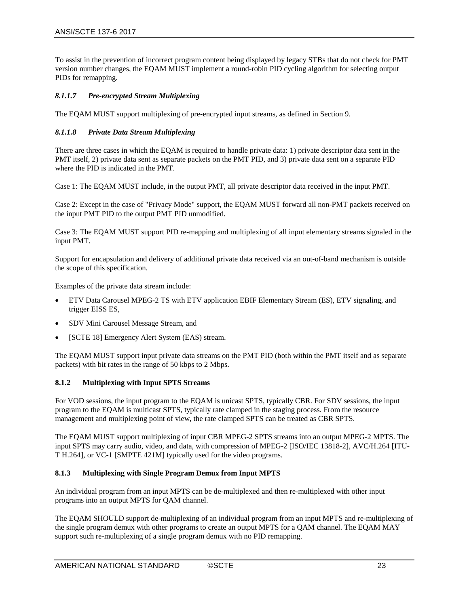To assist in the prevention of incorrect program content being displayed by legacy STBs that do not check for PMT version number changes, the EQAM MUST implement a round-robin PID cycling algorithm for selecting output PIDs for remapping.

#### *8.1.1.7 Pre-encrypted Stream Multiplexing*

The EQAM MUST support multiplexing of pre-encrypted input streams, as defined in Sectio[n 9.](#page-28-0)

#### *8.1.1.8 Private Data Stream Multiplexing*

There are three cases in which the EQAM is required to handle private data: 1) private descriptor data sent in the PMT itself, 2) private data sent as separate packets on the PMT PID, and 3) private data sent on a separate PID where the PID is indicated in the PMT.

Case 1: The EQAM MUST include, in the output PMT, all private descriptor data received in the input PMT.

Case 2: Except in the case of "Privacy Mode" support, the EQAM MUST forward all non-PMT packets received on the input PMT PID to the output PMT PID unmodified.

Case 3: The EQAM MUST support PID re-mapping and multiplexing of all input elementary streams signaled in the input PMT.

Support for encapsulation and delivery of additional private data received via an out-of-band mechanism is outside the scope of this specification.

Examples of the private data stream include:

- ETV Data Carousel MPEG-2 TS with ETV application EBIF Elementary Stream (ES), ETV signaling, and trigger EISS ES,
- SDV Mini Carousel Message Stream, and
- [\[SCTE 18\]](#page-6-2) Emergency Alert System (EAS) stream.

The EQAM MUST support input private data streams on the PMT PID (both within the PMT itself and as separate packets) with bit rates in the range of 50 kbps to 2 Mbps.

#### <span id="page-26-0"></span>**8.1.2 Multiplexing with Input SPTS Streams**

For VOD sessions, the input program to the EQAM is unicast SPTS, typically CBR. For SDV sessions, the input program to the EQAM is multicast SPTS, typically rate clamped in the staging process. From the resource management and multiplexing point of view, the rate clamped SPTS can be treated as CBR SPTS.

The EQAM MUST support multiplexing of input CBR MPEG-2 SPTS streams into an output MPEG-2 MPTS. The input SPTS may carry audio, video, and data, with compression of MPEG-2 [\[ISO/IEC 13818-2\],](#page-5-12) AVC/H.264 [\[ITU-](#page-5-13)[T H.264\],](#page-5-13) or VC-1 [\[SMPTE 421M\]](#page-6-3) typically used for the video programs.

#### <span id="page-26-1"></span>**8.1.3 Multiplexing with Single Program Demux from Input MPTS**

An individual program from an input MPTS can be de-multiplexed and then re-multiplexed with other input programs into an output MPTS for QAM channel.

The EQAM SHOULD support de-multiplexing of an individual program from an input MPTS and re-multiplexing of the single program demux with other programs to create an output MPTS for a QAM channel. The EQAM MAY support such re-multiplexing of a single program demux with no PID remapping.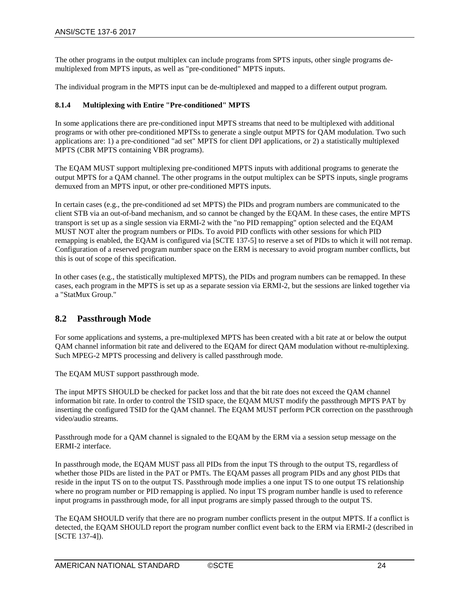The other programs in the output multiplex can include programs from SPTS inputs, other single programs demultiplexed from MPTS inputs, as well as "pre-conditioned" MPTS inputs.

The individual program in the MPTS input can be de-multiplexed and mapped to a different output program.

#### <span id="page-27-0"></span>**8.1.4 Multiplexing with Entire "Pre-conditioned" MPTS**

In some applications there are pre-conditioned input MPTS streams that need to be multiplexed with additional programs or with other pre-conditioned MPTSs to generate a single output MPTS for QAM modulation. Two such applications are: 1) a pre-conditioned "ad set" MPTS for client DPI applications, or 2) a statistically multiplexed MPTS (CBR MPTS containing VBR programs).

The EQAM MUST support multiplexing pre-conditioned MPTS inputs with additional programs to generate the output MPTS for a QAM channel. The other programs in the output multiplex can be SPTS inputs, single programs demuxed from an MPTS input, or other pre-conditioned MPTS inputs.

In certain cases (e.g., the pre-conditioned ad set MPTS) the PIDs and program numbers are communicated to the client STB via an out-of-band mechanism, and so cannot be changed by the EQAM. In these cases, the entire MPTS transport is set up as a single session via ERMI-2 with the "no PID remapping" option selected and the EQAM MUST NOT alter the program numbers or PIDs. To avoid PID conflicts with other sessions for which PID remapping is enabled, the EQAM is configured via [\[SCTE 137-5\]](#page-5-4) to reserve a set of PIDs to which it will not remap. Configuration of a reserved program number space on the ERM is necessary to avoid program number conflicts, but this is out of scope of this specification.

In other cases (e.g., the statistically multiplexed MPTS), the PIDs and program numbers can be remapped. In these cases, each program in the MPTS is set up as a separate session via ERMI-2, but the sessions are linked together via a "StatMux Group."

### <span id="page-27-1"></span>**8.2 Passthrough Mode**

For some applications and systems, a pre-multiplexed MPTS has been created with a bit rate at or below the output QAM channel information bit rate and delivered to the EQAM for direct QAM modulation without re-multiplexing. Such MPEG-2 MPTS processing and delivery is called passthrough mode.

The EQAM MUST support passthrough mode.

The input MPTS SHOULD be checked for packet loss and that the bit rate does not exceed the QAM channel information bit rate. In order to control the TSID space, the EQAM MUST modify the passthrough MPTS PAT by inserting the configured TSID for the QAM channel. The EQAM MUST perform PCR correction on the passthrough video/audio streams.

Passthrough mode for a QAM channel is signaled to the EQAM by the ERM via a session setup message on the ERMI-2 interface.

In passthrough mode, the EQAM MUST pass all PIDs from the input TS through to the output TS, regardless of whether those PIDs are listed in the PAT or PMTs. The EQAM passes all program PIDs and any ghost PIDs that reside in the input TS on to the output TS. Passthrough mode implies a one input TS to one output TS relationship where no program number or PID remapping is applied. No input TS program number handle is used to reference input programs in passthrough mode, for all input programs are simply passed through to the output TS.

The EQAM SHOULD verify that there are no program number conflicts present in the output MPTS. If a conflict is detected, the EQAM SHOULD report the program number conflict event back to the ERM via ERMI-2 (described in [\[SCTE 137-4\]\)](#page-5-5).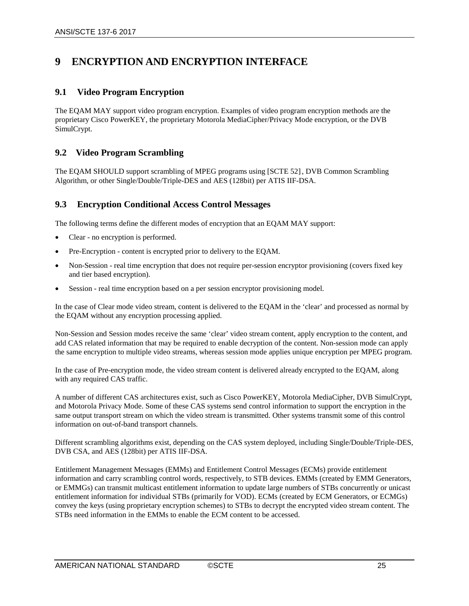## <span id="page-28-0"></span>**9 ENCRYPTION AND ENCRYPTION INTERFACE**

## <span id="page-28-1"></span>**9.1 Video Program Encryption**

The EQAM MAY support video program encryption. Examples of video program encryption methods are the proprietary Cisco PowerKEY, the proprietary Motorola MediaCipher/Privacy Mode encryption, or the DVB SimulCrypt.

### <span id="page-28-2"></span>**9.2 Video Program Scrambling**

The EQAM SHOULD support scrambling of MPEG programs using [SCTE 52], DVB Common Scrambling Algorithm, or other Single/Double/Triple-DES and AES (128bit) per ATIS IIF-DSA.

## <span id="page-28-3"></span>**9.3 Encryption Conditional Access Control Messages**

The following terms define the different modes of encryption that an EQAM MAY support:

- Clear no encryption is performed.
- Pre-Encryption content is encrypted prior to delivery to the EQAM.
- Non-Session real time encryption that does not require per-session encryptor provisioning (covers fixed key and tier based encryption).
- Session real time encryption based on a per session encryptor provisioning model.

In the case of Clear mode video stream, content is delivered to the EQAM in the 'clear' and processed as normal by the EQAM without any encryption processing applied.

Non-Session and Session modes receive the same 'clear' video stream content, apply encryption to the content, and add CAS related information that may be required to enable decryption of the content. Non-session mode can apply the same encryption to multiple video streams, whereas session mode applies unique encryption per MPEG program.

In the case of Pre-encryption mode, the video stream content is delivered already encrypted to the EQAM, along with any required CAS traffic.

A number of different CAS architectures exist, such as Cisco PowerKEY, Motorola MediaCipher, DVB SimulCrypt, and Motorola Privacy Mode. Some of these CAS systems send control information to support the encryption in the same output transport stream on which the video stream is transmitted. Other systems transmit some of this control information on out-of-band transport channels.

Different scrambling algorithms exist, depending on the CAS system deployed, including Single/Double/Triple-DES, DVB CSA, and AES (128bit) per ATIS IIF-DSA.

Entitlement Management Messages (EMMs) and Entitlement Control Messages (ECMs) provide entitlement information and carry scrambling control words, respectively, to STB devices. EMMs (created by EMM Generators, or EMMGs) can transmit multicast entitlement information to update large numbers of STBs concurrently or unicast entitlement information for individual STBs (primarily for VOD). ECMs (created by ECM Generators, or ECMGs) convey the keys (using proprietary encryption schemes) to STBs to decrypt the encrypted video stream content. The STBs need information in the EMMs to enable the ECM content to be accessed.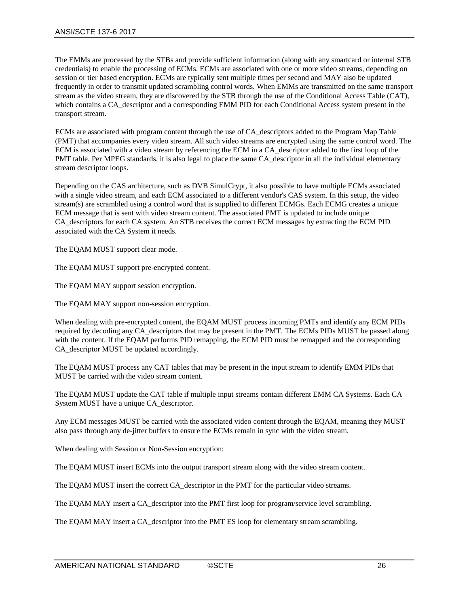The EMMs are processed by the STBs and provide sufficient information (along with any smartcard or internal STB credentials) to enable the processing of ECMs. ECMs are associated with one or more video streams, depending on session or tier based encryption. ECMs are typically sent multiple times per second and MAY also be updated frequently in order to transmit updated scrambling control words. When EMMs are transmitted on the same transport stream as the video stream, they are discovered by the STB through the use of the Conditional Access Table (CAT), which contains a CA\_descriptor and a corresponding EMM PID for each Conditional Access system present in the transport stream.

ECMs are associated with program content through the use of CA\_descriptors added to the Program Map Table (PMT) that accompanies every video stream. All such video streams are encrypted using the same control word. The ECM is associated with a video stream by referencing the ECM in a CA\_descriptor added to the first loop of the PMT table. Per MPEG standards, it is also legal to place the same CA\_descriptor in all the individual elementary stream descriptor loops.

Depending on the CAS architecture, such as DVB SimulCrypt, it also possible to have multiple ECMs associated with a single video stream, and each ECM associated to a different vendor's CAS system. In this setup, the video stream(s) are scrambled using a control word that is supplied to different ECMGs. Each ECMG creates a unique ECM message that is sent with video stream content. The associated PMT is updated to include unique CA\_descriptors for each CA system. An STB receives the correct ECM messages by extracting the ECM PID associated with the CA System it needs.

The EQAM MUST support clear mode.

The EQAM MUST support pre-encrypted content.

The EQAM MAY support session encryption.

The EQAM MAY support non-session encryption.

When dealing with pre-encrypted content, the EQAM MUST process incoming PMTs and identify any ECM PIDs required by decoding any CA\_descriptors that may be present in the PMT. The ECMs PIDs MUST be passed along with the content. If the EQAM performs PID remapping, the ECM PID must be remapped and the corresponding CA\_descriptor MUST be updated accordingly.

The EQAM MUST process any CAT tables that may be present in the input stream to identify EMM PIDs that MUST be carried with the video stream content.

The EQAM MUST update the CAT table if multiple input streams contain different EMM CA Systems. Each CA System MUST have a unique CA\_descriptor.

Any ECM messages MUST be carried with the associated video content through the EQAM, meaning they MUST also pass through any de-jitter buffers to ensure the ECMs remain in sync with the video stream.

When dealing with Session or Non-Session encryption:

The EQAM MUST insert ECMs into the output transport stream along with the video stream content.

The EQAM MUST insert the correct CA\_descriptor in the PMT for the particular video streams.

The EQAM MAY insert a CA\_descriptor into the PMT first loop for program/service level scrambling.

The EQAM MAY insert a CA\_descriptor into the PMT ES loop for elementary stream scrambling.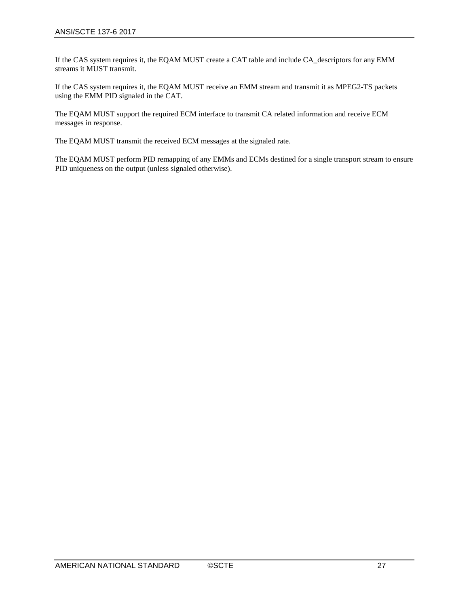If the CAS system requires it, the EQAM MUST create a CAT table and include CA\_descriptors for any EMM streams it MUST transmit.

If the CAS system requires it, the EQAM MUST receive an EMM stream and transmit it as MPEG2-TS packets using the EMM PID signaled in the CAT.

The EQAM MUST support the required ECM interface to transmit CA related information and receive ECM messages in response.

The EQAM MUST transmit the received ECM messages at the signaled rate.

The EQAM MUST perform PID remapping of any EMMs and ECMs destined for a single transport stream to ensure PID uniqueness on the output (unless signaled otherwise).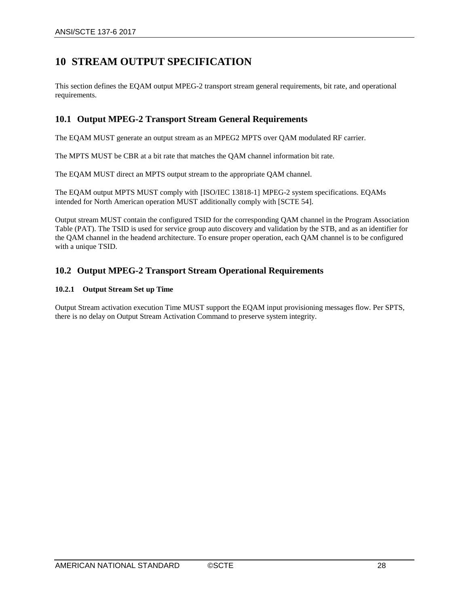## <span id="page-31-0"></span>**10 STREAM OUTPUT SPECIFICATION**

This section defines the EQAM output MPEG-2 transport stream general requirements, bit rate, and operational requirements.

### <span id="page-31-1"></span>**10.1 Output MPEG-2 Transport Stream General Requirements**

The EQAM MUST generate an output stream as an MPEG2 MPTS over QAM modulated RF carrier.

The MPTS MUST be CBR at a bit rate that matches the QAM channel information bit rate.

The EQAM MUST direct an MPTS output stream to the appropriate QAM channel.

The EQAM output MPTS MUST comply with [ISO/IEC 13818-1] MPEG-2 system specifications. EQAMs intended for North American operation MUST additionally comply with [\[SCTE 54\].](#page-5-10)

Output stream MUST contain the configured TSID for the corresponding QAM channel in the Program Association Table (PAT). The TSID is used for service group auto discovery and validation by the STB, and as an identifier for the QAM channel in the headend architecture. To ensure proper operation, each QAM channel is to be configured with a unique TSID.

### <span id="page-31-2"></span>**10.2 Output MPEG-2 Transport Stream Operational Requirements**

#### <span id="page-31-3"></span>**10.2.1 Output Stream Set up Time**

Output Stream activation execution Time MUST support the EQAM input provisioning messages flow. Per SPTS, there is no delay on Output Stream Activation Command to preserve system integrity.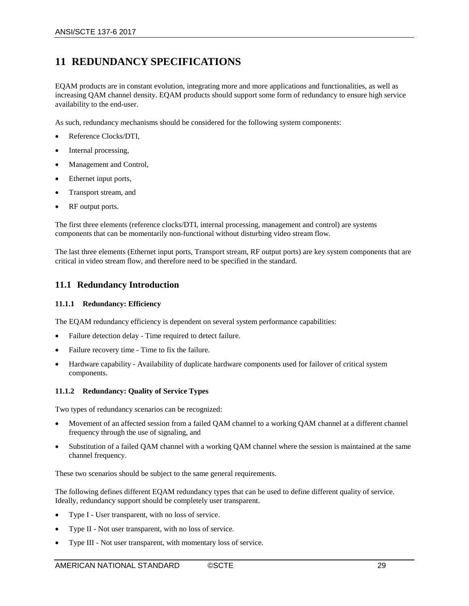## <span id="page-32-0"></span>**11 REDUNDANCY SPECIFICATIONS**

EQAM products are in constant evolution, integrating more and more applications and functionalities, as well as increasing QAM channel density. EQAM products should support some form of redundancy to ensure high service availability to the end-user.

As such, redundancy mechanisms should be considered for the following system components:

- Reference Clocks/DTI,
- Internal processing,
- Management and Control,
- Ethernet input ports,
- Transport stream, and
- RF output ports.

The first three elements (reference clocks/DTI, internal processing, management and control) are systems components that can be momentarily non-functional without disturbing video stream flow.

The last three elements (Ethernet input ports, Transport stream, RF output ports) are key system components that are critical in video stream flow, and therefore need to be specified in the standard.

#### <span id="page-32-1"></span>**11.1 Redundancy Introduction**

#### <span id="page-32-2"></span>**11.1.1 Redundancy: Efficiency**

The EQAM redundancy efficiency is dependent on several system performance capabilities:

- Failure detection delay Time required to detect failure.
- Failure recovery time Time to fix the failure.
- Hardware capability Availability of duplicate hardware components used for failover of critical system components.

#### <span id="page-32-3"></span>**11.1.2 Redundancy: Quality of Service Types**

Two types of redundancy scenarios can be recognized:

- Movement of an affected session from a failed QAM channel to a working QAM channel at a different channel frequency through the use of signaling, and
- Substitution of a failed QAM channel with a working QAM channel where the session is maintained at the same channel frequency.

These two scenarios should be subject to the same general requirements.

The following defines different EQAM redundancy types that can be used to define different quality of service. Ideally, redundancy support should be completely user transparent.

- Type I User transparent, with no loss of service.
- Type II Not user transparent, with no loss of service.
- Type III Not user transparent, with momentary loss of service.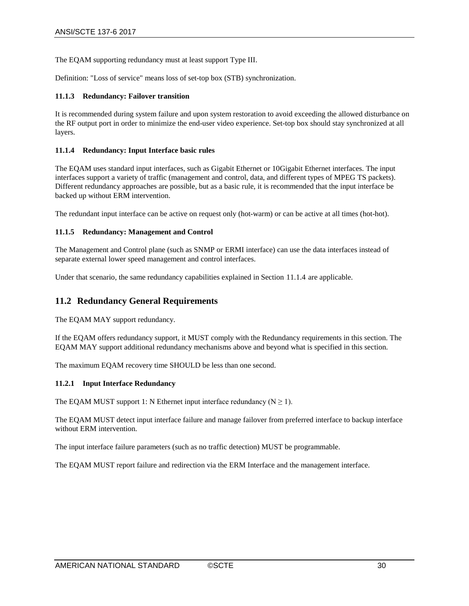The EQAM supporting redundancy must at least support Type III.

Definition: "Loss of service" means loss of set-top box (STB) synchronization.

#### <span id="page-33-0"></span>**11.1.3 Redundancy: Failover transition**

It is recommended during system failure and upon system restoration to avoid exceeding the allowed disturbance on the RF output port in order to minimize the end-user video experience. Set-top box should stay synchronized at all layers.

#### <span id="page-33-1"></span>**11.1.4 Redundancy: Input Interface basic rules**

The EQAM uses standard input interfaces, such as Gigabit Ethernet or 10Gigabit Ethernet interfaces. The input interfaces support a variety of traffic (management and control, data, and different types of MPEG TS packets). Different redundancy approaches are possible, but as a basic rule, it is recommended that the input interface be backed up without ERM intervention.

The redundant input interface can be active on request only (hot-warm) or can be active at all times (hot-hot).

#### <span id="page-33-2"></span>**11.1.5 Redundancy: Management and Control**

The Management and Control plane (such as SNMP or ERMI interface) can use the data interfaces instead of separate external lower speed management and control interfaces.

Under that scenario, the same redundancy capabilities explained in Section  $11.1.4$  are applicable.

### <span id="page-33-3"></span>**11.2 Redundancy General Requirements**

The EQAM MAY support redundancy.

If the EQAM offers redundancy support, it MUST comply with the Redundancy requirements in this section. The EQAM MAY support additional redundancy mechanisms above and beyond what is specified in this section.

The maximum EQAM recovery time SHOULD be less than one second.

#### <span id="page-33-4"></span>**11.2.1 Input Interface Redundancy**

The EQAM MUST support 1: N Ethernet input interface redundancy  $(N \ge 1)$ .

The EQAM MUST detect input interface failure and manage failover from preferred interface to backup interface without ERM intervention.

The input interface failure parameters (such as no traffic detection) MUST be programmable.

The EQAM MUST report failure and redirection via the ERM Interface and the management interface.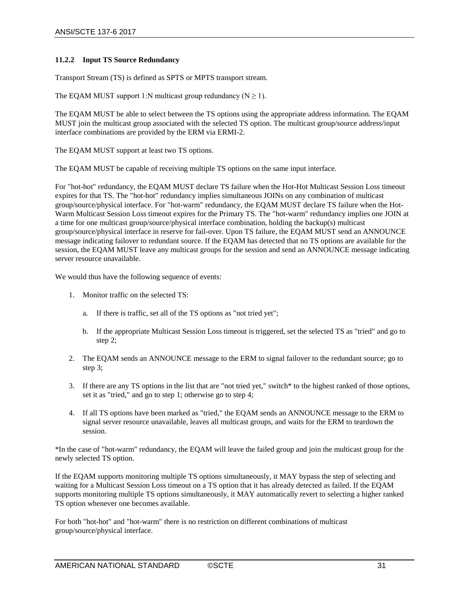#### <span id="page-34-0"></span>**11.2.2 Input TS Source Redundancy**

Transport Stream (TS) is defined as SPTS or MPTS transport stream.

The EQAM MUST support 1:N multicast group redundancy  $(N \ge 1)$ .

The EQAM MUST be able to select between the TS options using the appropriate address information. The EQAM MUST join the multicast group associated with the selected TS option. The multicast group/source address/input interface combinations are provided by the ERM via ERMI-2.

The EQAM MUST support at least two TS options.

The EQAM MUST be capable of receiving multiple TS options on the same input interface.

For "hot-hot" redundancy, the EQAM MUST declare TS failure when the Hot-Hot Multicast Session Loss timeout expires for that TS. The "hot-hot" redundancy implies simultaneous JOINs on any combination of multicast group/source/physical interface. For "hot-warm" redundancy, the EQAM MUST declare TS failure when the Hot-Warm Multicast Session Loss timeout expires for the Primary TS. The "hot-warm" redundancy implies one JOIN at a time for one multicast group/source/physical interface combination, holding the backup(s) multicast group/source/physical interface in reserve for fail-over. Upon TS failure, the EQAM MUST send an ANNOUNCE message indicating failover to redundant source. If the EQAM has detected that no TS options are available for the session, the EQAM MUST leave any multicast groups for the session and send an ANNOUNCE message indicating server resource unavailable.

We would thus have the following sequence of events:

- 1. Monitor traffic on the selected TS:
	- a. If there is traffic, set all of the TS options as "not tried yet";
	- b. If the appropriate Multicast Session Loss timeout is triggered, set the selected TS as "tried" and go to step 2;
- 2. The EQAM sends an ANNOUNCE message to the ERM to signal failover to the redundant source; go to step 3;
- 3. If there are any TS options in the list that are "not tried yet," switch\* to the highest ranked of those options, set it as "tried," and go to step 1; otherwise go to step 4;
- 4. If all TS options have been marked as "tried," the EQAM sends an ANNOUNCE message to the ERM to signal server resource unavailable, leaves all multicast groups, and waits for the ERM to teardown the session.

\*In the case of "hot-warm" redundancy, the EQAM will leave the failed group and join the multicast group for the newly selected TS option.

If the EQAM supports monitoring multiple TS options simultaneously, it MAY bypass the step of selecting and waiting for a Multicast Session Loss timeout on a TS option that it has already detected as failed. If the EQAM supports monitoring multiple TS options simultaneously, it MAY automatically revert to selecting a higher ranked TS option whenever one becomes available.

For both "hot-hot" and "hot-warm" there is no restriction on different combinations of multicast group/source/physical interface.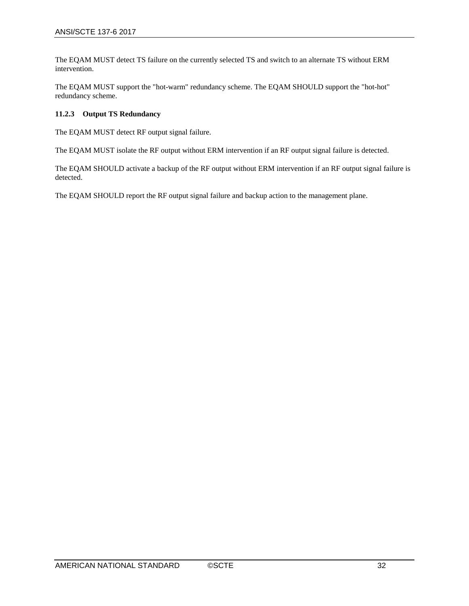The EQAM MUST detect TS failure on the currently selected TS and switch to an alternate TS without ERM intervention.

The EQAM MUST support the "hot-warm" redundancy scheme. The EQAM SHOULD support the "hot-hot" redundancy scheme.

### <span id="page-35-0"></span>**11.2.3 Output TS Redundancy**

The EQAM MUST detect RF output signal failure.

The EQAM MUST isolate the RF output without ERM intervention if an RF output signal failure is detected.

The EQAM SHOULD activate a backup of the RF output without ERM intervention if an RF output signal failure is detected.

The EQAM SHOULD report the RF output signal failure and backup action to the management plane.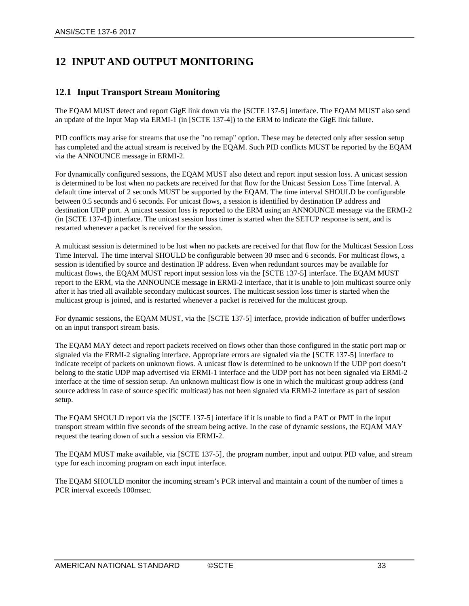## <span id="page-36-0"></span>**12 INPUT AND OUTPUT MONITORING**

## <span id="page-36-1"></span>**12.1 Input Transport Stream Monitoring**

The EQAM MUST detect and report GigE link down via the [SCTE 137-5] interface. The EQAM MUST also send an update of the Input Map via ERMI-1 (in [\[SCTE 137-4\]\)](#page-5-5) to the ERM to indicate the GigE link failure.

PID conflicts may arise for streams that use the "no remap" option. These may be detected only after session setup has completed and the actual stream is received by the EQAM. Such PID conflicts MUST be reported by the EQAM via the ANNOUNCE message in ERMI-2.

For dynamically configured sessions, the EQAM MUST also detect and report input session loss. A unicast session is determined to be lost when no packets are received for that flow for the Unicast Session Loss Time Interval. A default time interval of 2 seconds MUST be supported by the EQAM. The time interval SHOULD be configurable between 0.5 seconds and 6 seconds. For unicast flows, a session is identified by destination IP address and destination UDP port. A unicast session loss is reported to the ERM using an ANNOUNCE message via the ERMI-2 (i[n \[SCTE 137-4\]\)](#page-5-5) interface. The unicast session loss timer is started when the SETUP response is sent, and is restarted whenever a packet is received for the session.

A multicast session is determined to be lost when no packets are received for that flow for the Multicast Session Loss Time Interval. The time interval SHOULD be configurable between 30 msec and 6 seconds. For multicast flows, a session is identified by source and destination IP address. Even when redundant sources may be available for multicast flows, the EQAM MUST report input session loss via the [SCTE 137-5] interface. The EQAM MUST report to the ERM, via the ANNOUNCE message in ERMI-2 interface, that it is unable to join multicast source only after it has tried all available secondary multicast sources. The multicast session loss timer is started when the multicast group is joined, and is restarted whenever a packet is received for the multicast group.

For dynamic sessions, the EQAM MUST, via the [SCTE 137-5] interface, provide indication of buffer underflows on an input transport stream basis.

The EQAM MAY detect and report packets received on flows other than those configured in the static port map or signaled via the ERMI-2 signaling interface. Appropriate errors are signaled via the [SCTE 137-5] interface to indicate receipt of packets on unknown flows. A unicast flow is determined to be unknown if the UDP port doesn't belong to the static UDP map advertised via ERMI-1 interface and the UDP port has not been signaled via ERMI-2 interface at the time of session setup. An unknown multicast flow is one in which the multicast group address (and source address in case of source specific multicast) has not been signaled via ERMI-2 interface as part of session setup.

The EQAM SHOULD report via the [SCTE 137-5] interface if it is unable to find a PAT or PMT in the input transport stream within five seconds of the stream being active. In the case of dynamic sessions, the EQAM MAY request the tearing down of such a session via ERMI-2.

The EQAM MUST make available, via [SCTE 137-5], the program number, input and output PID value, and stream type for each incoming program on each input interface.

The EQAM SHOULD monitor the incoming stream's PCR interval and maintain a count of the number of times a PCR interval exceeds 100msec.